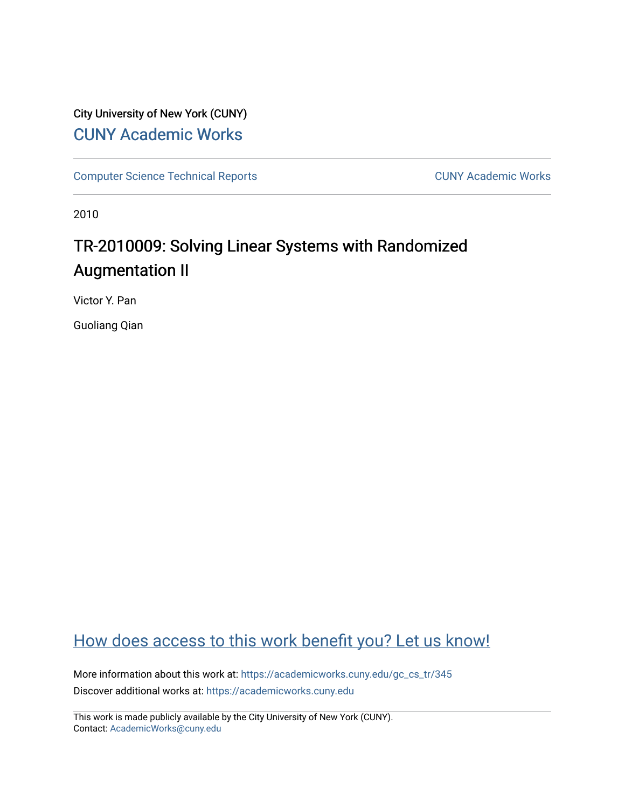## City University of New York (CUNY) [CUNY Academic Works](https://academicworks.cuny.edu/)

[Computer Science Technical Reports](https://academicworks.cuny.edu/gc_cs_tr) **CUNY Academic Works** CUNY Academic Works

2010

# TR-2010009: Solving Linear Systems with Randomized Augmentation II

Victor Y. Pan

Guoliang Qian

## [How does access to this work benefit you? Let us know!](http://ols.cuny.edu/academicworks/?ref=https://academicworks.cuny.edu/gc_cs_tr/345)

More information about this work at: https://academicworks.cuny.edu/gc\_cs\_tr/345 Discover additional works at: [https://academicworks.cuny.edu](https://academicworks.cuny.edu/?)

This work is made publicly available by the City University of New York (CUNY). Contact: [AcademicWorks@cuny.edu](mailto:AcademicWorks@cuny.edu)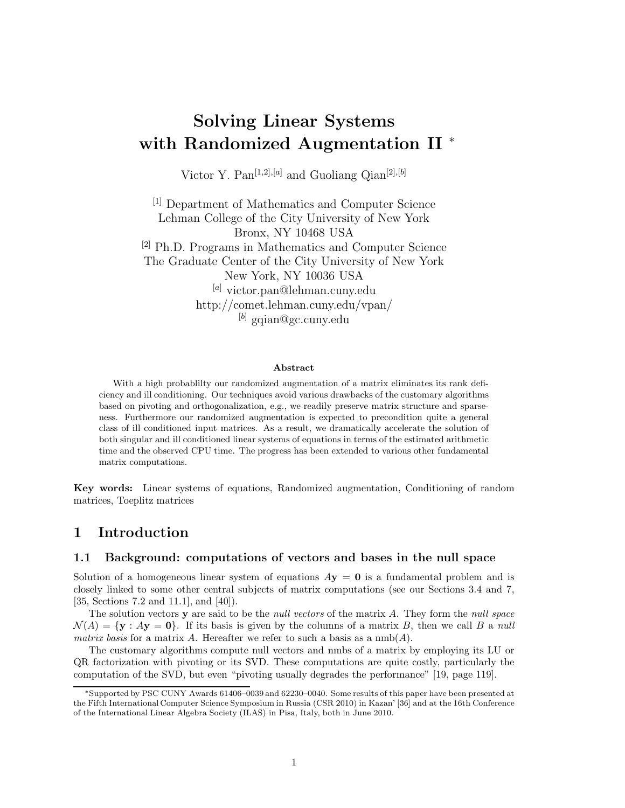# **Solving Linear Systems with Randomized Augmentation II** <sup>∗</sup>

Victor Y. Pan<sup>[1,2],[a]</sup> and Guoliang Qian<sup>[2],[b]</sup>

[1] Department of Mathematics and Computer Science Lehman College of the City University of New York Bronx, NY 10468 USA [2] Ph.D. Programs in Mathematics and Computer Science The Graduate Center of the City University of New York New York, NY 10036 USA [*a*] victor.pan@lehman.cuny.edu http://comet.lehman.cuny.edu/vpan/ [*b*] gqian@gc.cuny.edu

#### **Abstract**

With a high probablilty our randomized augmentation of a matrix eliminates its rank deficiency and ill conditioning. Our techniques avoid various drawbacks of the customary algorithms based on pivoting and orthogonalization, e.g., we readily preserve matrix structure and sparseness. Furthermore our randomized augmentation is expected to precondition quite a general class of ill conditioned input matrices. As a result, we dramatically accelerate the solution of both singular and ill conditioned linear systems of equations in terms of the estimated arithmetic time and the observed CPU time. The progress has been extended to various other fundamental matrix computations.

**Key words:** Linear systems of equations, Randomized augmentation, Conditioning of random matrices, Toeplitz matrices

## **1 Introduction**

## **1.1 Background: computations of vectors and bases in the null space**

Solution of a homogeneous linear system of equations  $A$ **y** = **0** is a fundamental problem and is closely linked to some other central subjects of matrix computations (see our Sections 3.4 and 7, [35, Sections 7.2 and 11.1], and [40]).

The solution vectors **y** are said to be the *null vectors* of the matrix *A*. They form the *null space*  $\mathcal{N}(A) = \{ \mathbf{y} : A\mathbf{y} = \mathbf{0} \}.$  If its basis is given by the columns of a matrix *B*, then we call *B* a *null matrix basis* for a matrix A. Hereafter we refer to such a basis as a  $nmb(A)$ .

The customary algorithms compute null vectors and nmbs of a matrix by employing its LU or QR factorization with pivoting or its SVD. These computations are quite costly, particularly the computation of the SVD, but even "pivoting usually degrades the performance" [19, page 119].

<sup>∗</sup>Supported by PSC CUNY Awards 61406–0039 and 62230–0040. Some results of this paper have been presented at the Fifth International Computer Science Symposium in Russia (CSR 2010) in Kazan' [36] and at the 16th Conference of the International Linear Algebra Society (ILAS) in Pisa, Italy, both in June 2010.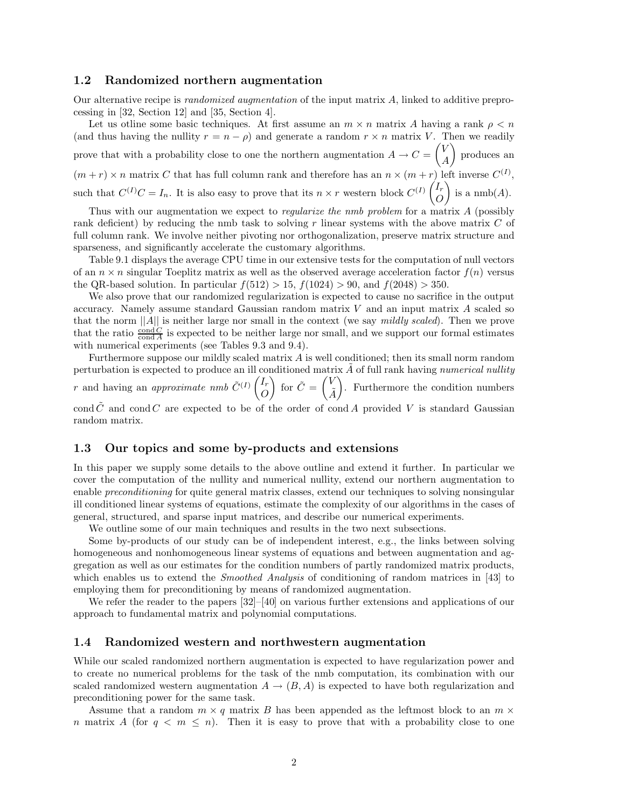## **1.2 Randomized northern augmentation**

Our alternative recipe is *randomized augmentation* of the input matrix *A*, linked to additive preprocessing in [32, Section 12] and [35, Section 4].

Let us otline some basic techniques. At first assume an  $m \times n$  matrix A having a rank  $\rho \leq n$ (and thus having the nullity  $r = n - \rho$ ) and generate a random  $r \times n$  matrix *V*. Then we readily prove that with a probability close to one the northern augmentation  $A \to C = \begin{pmatrix} V & V \\ V & V \end{pmatrix}$ *A* - produces an  $(m + r) \times n$  matrix *C* that has full column rank and therefore has an  $n \times (m + r)$  left inverse  $C^{(I)}$ , such that  $C^{(I)}C = I_n$ . It is also easy to prove that its  $n \times r$  western block  $C^{(I)}\begin{pmatrix} I_r \\ O \end{pmatrix}$ *O* ) is a  $\text{nmb}(A)$ .

Thus with our augmentation we expect to *regularize the nmb problem* for a matrix *A* (possibly rank deficient) by reducing the nmb task to solving *r* linear systems with the above matrix *C* of full column rank. We involve neither pivoting nor orthogonalization, preserve matrix structure and sparseness, and significantly accelerate the customary algorithms.

Table 9.1 displays the average CPU time in our extensive tests for the computation of null vectors of an  $n \times n$  singular Toeplitz matrix as well as the observed average acceleration factor  $f(n)$  versus the QR-based solution. In particular  $f(512) > 15$ ,  $f(1024) > 90$ , and  $f(2048) > 350$ .

We also prove that our randomized regularization is expected to cause no sacrifice in the output accuracy. Namely assume standard Gaussian random matrix *V* and an input matrix *A* scaled so that the norm ||*A*|| is neither large nor small in the context (we say *mildly scaled*). Then we prove that the ratio  $\frac{\text{cond } C}{\text{cond } A}$  is expected to be neither large nor small, and we support our formal estimates with numerical experiments (see Tables 9.3 and 9.4).

Furthermore suppose our mildly scaled matrix *A* is well conditioned; then its small norm random perturbation is expected to produce an ill conditioned matrix  $\tilde{A}$  of full rank having *numerical nullity r* and having an *approximate nmb*  $\tilde{C}^{(I)}\begin{pmatrix}I_r\\O\end{pmatrix}$ *O* for  $\tilde{C} = \begin{pmatrix} V \\ \tilde{v} \end{pmatrix}$ *A*˜ - . Furthermore the condition numbers

cond  $\tilde{C}$  and cond *C* are expected to be of the order of cond *A* provided *V* is standard Gaussian random matrix.

## **1.3 Our topics and some by-products and extensions**

In this paper we supply some details to the above outline and extend it further. In particular we cover the computation of the nullity and numerical nullity, extend our northern augmentation to enable *preconditioning* for quite general matrix classes, extend our techniques to solving nonsingular ill conditioned linear systems of equations, estimate the complexity of our algorithms in the cases of general, structured, and sparse input matrices, and describe our numerical experiments.

We outline some of our main techniques and results in the two next subsections.

Some by-products of our study can be of independent interest, e.g., the links between solving homogeneous and nonhomogeneous linear systems of equations and between augmentation and aggregation as well as our estimates for the condition numbers of partly randomized matrix products, which enables us to extend the *Smoothed Analysis* of conditioning of random matrices in [43] to employing them for preconditioning by means of randomized augmentation.

We refer the reader to the papers  $[32]$ –[40] on various further extensions and applications of our approach to fundamental matrix and polynomial computations.

## **1.4 Randomized western and northwestern augmentation**

While our scaled randomized northern augmentation is expected to have regularization power and to create no numerical problems for the task of the nmb computation, its combination with our scaled randomized western augmentation  $A \to (B, A)$  is expected to have both regularization and preconditioning power for the same task.

Assume that a random  $m \times q$  matrix *B* has been appended as the leftmost block to an  $m \times q$ *n* matrix *A* (for  $q < m \leq n$ ). Then it is easy to prove that with a probability close to one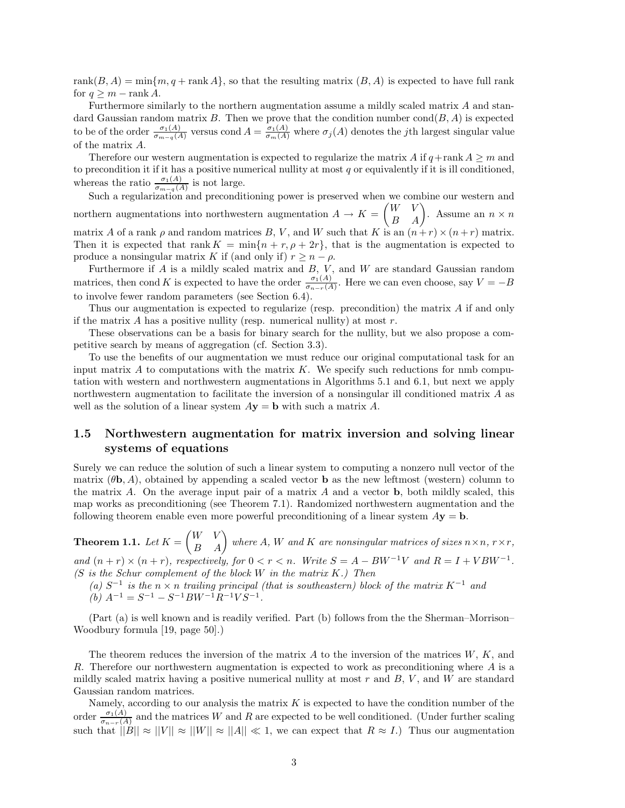rank $(B, A) = \min\{m, q + \text{rank } A\}$ , so that the resulting matrix  $(B, A)$  is expected to have full rank for  $q \geq m - \text{rank } A$ .

Furthermore similarly to the northern augmentation assume a mildly scaled matrix *A* and standard Gaussian random matrix *B*. Then we prove that the condition number cond $(B, A)$  is expected to be of the order  $\frac{\sigma_1(A)}{\sigma_{m-q}(A)}$  versus cond  $A = \frac{\sigma_1(A)}{\sigma_m(A)}$  where  $\sigma_j(A)$  denotes the *j*th largest singular value of the matrix *A*.

Therefore our western augmentation is expected to regularize the matrix *A* if  $q$ +rank  $A \geq m$  and to precondition it if it has a positive numerical nullity at most *q* or equivalently if it is ill conditioned, whereas the ratio  $\frac{\sigma_1(A)}{\sigma_{m-q}(A)}$  is not large.

Such a regularization and preconditioning power is preserved when we combine our western and northern augmentations into northwestern augmentation  $A \to K = \begin{pmatrix} W & V \\ B & A \end{pmatrix}$ . Assume an  $n \times n$ matrix *A* of a rank  $\rho$  and random matrices *B*, *V*, and *W* such that *K* is an  $(n+r) \times (n+r)$  matrix. Then it is expected that rank  $K = \min\{n + r, \rho + 2r\}$ , that is the augmentation is expected to produce a nonsingular matrix *K* if (and only if)  $r \geq n - \rho$ .

Furthermore if *A* is a mildly scaled matrix and *B*, *V* , and *W* are standard Gaussian random matrices, then cond *K* is expected to have the order  $\frac{\sigma_1(A)}{\sigma_{n-r}(A)}$ . Here we can even choose, say  $V = -B$ to involve fewer random parameters (see Section 6.4).

Thus our augmentation is expected to regularize (resp. precondition) the matrix *A* if and only if the matrix *A* has a positive nullity (resp. numerical nullity) at most *r*.

These observations can be a basis for binary search for the nullity, but we also propose a competitive search by means of aggregation (cf. Section 3.3).

To use the benefits of our augmentation we must reduce our original computational task for an input matrix  $A$  to computations with the matrix  $K$ . We specify such reductions for nmb computation with western and northwestern augmentations in Algorithms 5.1 and 6.1, but next we apply northwestern augmentation to facilitate the inversion of a nonsingular ill conditioned matrix *A* as well as the solution of a linear system  $A$ **y** = **b** with such a matrix  $A$ .

## **1.5 Northwestern augmentation for matrix inversion and solving linear systems of equations**

Surely we can reduce the solution of such a linear system to computing a nonzero null vector of the matrix  $(\theta, A)$ , obtained by appending a scaled vector **b** as the new leftmost (western) column to the matrix *A*. On the average input pair of a matrix *A* and a vector **b**, both mildly scaled, this map works as preconditioning (see Theorem 7.1). Randomized northwestern augmentation and the following theorem enable even more powerful preconditioning of a linear system  $A$ **y** = **b**.

**Theorem 1.1.** Let  $K = \begin{pmatrix} W & V \ B & A \end{pmatrix}$  where  $A$ ,  $W$  and  $K$  are nonsingular matrices of sizes  $n \times n$ ,  $r \times r$ , *and*  $(n + r) \times (n + r)$ *, respectively, for*  $0 < r < n$ *. Write*  $S = A - BW^{-1}V$  *and*  $R = I + VBW^{-1}$ *.* 

- *(S is the Schur complement of the block W in the matrix K.) Then*
	- $(a)$  *S*<sup>−1</sup> *is the*  $n \times n$  *trailing principal (that is southeastern) block of the matrix*  $K^{-1}$  *and*  $(b)$   $A^{-1} = S^{-1} - S^{-1}BW^{-1}R^{-1}VS^{-1}$ .

(Part (a) is well known and is readily verified. Part (b) follows from the the Sherman–Morrison– Woodbury formula [19, page 50].)

The theorem reduces the inversion of the matrix *A* to the inversion of the matrices *W*, *K*, and *R*. Therefore our northwestern augmentation is expected to work as preconditioning where *A* is a mildly scaled matrix having a positive numerical nullity at most *r* and *B*, *V* , and *W* are standard Gaussian random matrices.

Namely, according to our analysis the matrix *K* is expected to have the condition number of the order  $\frac{\sigma_1(A)}{\sigma_{n-r}(A)}$  and the matrices *W* and *R* are expected to be well conditioned. (Under further scaling such that  $||B|| \approx ||V|| \approx ||W|| \approx ||A|| \ll 1$ , we can expect that  $R \approx I$ .) Thus our augmentation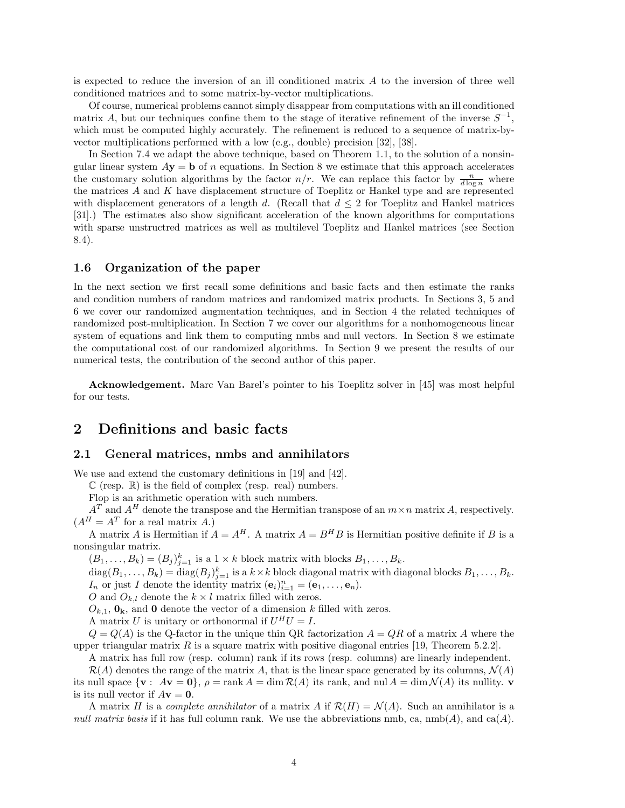is expected to reduce the inversion of an ill conditioned matrix *A* to the inversion of three well conditioned matrices and to some matrix-by-vector multiplications.

Of course, numerical problems cannot simply disappear from computations with an ill conditioned matrix *A*, but our techniques confine them to the stage of iterative refinement of the inverse *S*−1, which must be computed highly accurately. The refinement is reduced to a sequence of matrix-byvector multiplications performed with a low (e.g., double) precision [32], [38].

In Section 7.4 we adapt the above technique, based on Theorem 1.1, to the solution of a nonsingular linear system  $A$ **y** = **b** of *n* equations. In Section 8 we estimate that this approach accelerates the customary solution algorithms by the factor  $n/r$ . We can replace this factor by  $\frac{n}{d \log n}$  where the matrices *A* and *K* have displacement structure of Toeplitz or Hankel type and are represented with displacement generators of a length *d*. (Recall that  $d \leq 2$  for Toeplitz and Hankel matrices [31].) The estimates also show significant acceleration of the known algorithms for computations with sparse unstructred matrices as well as multilevel Toeplitz and Hankel matrices (see Section 8.4).

## **1.6 Organization of the paper**

In the next section we first recall some definitions and basic facts and then estimate the ranks and condition numbers of random matrices and randomized matrix products. In Sections 3, 5 and 6 we cover our randomized augmentation techniques, and in Section 4 the related techniques of randomized post-multiplication. In Section 7 we cover our algorithms for a nonhomogeneous linear system of equations and link them to computing nmbs and null vectors. In Section 8 we estimate the computational cost of our randomized algorithms. In Section 9 we present the results of our numerical tests, the contribution of the second author of this paper.

**Acknowledgement.** Marc Van Barel's pointer to his Toeplitz solver in [45] was most helpful for our tests.

## **2 Definitions and basic facts**

## **2.1 General matrices, nmbs and annihilators**

We use and extend the customary definitions in [19] and [42].

 $\mathbb C$  (resp.  $\mathbb R$ ) is the field of complex (resp. real) numbers.

Flop is an arithmetic operation with such numbers.

 $A<sup>T</sup>$  and  $A<sup>H</sup>$  denote the transpose and the Hermitian transpose of an  $m \times n$  matrix *A*, respectively.  $(A^H = A^T$  for a real matrix *A*.)

A matrix *A* is Hermitian if  $A = A^H$ . A matrix  $A = B^H B$  is Hermitian positive definite if *B* is a nonsingular matrix.

 $(B_1, \ldots, B_k) = (B_j)_{j=1}^k$  is a  $1 \times k$  block matrix with blocks  $B_1, \ldots, B_k$ .

 $\text{diag}(B_1,\ldots,B_k) = \text{diag}(B_j)_{j=1}^k$  is a  $k \times k$  block diagonal matrix with diagonal blocks  $B_1,\ldots,B_k$ . *I<sub>n</sub>* or just *I* denote the identity matrix  $(\mathbf{e}_i)_{i=1}^n = (\mathbf{e}_1, \dots, \mathbf{e}_n)$ .

*O* and  $O_{k,l}$  denote the  $k \times l$  matrix filled with zeros.

 $O_{k,1}$ ,  $\mathbf{0}_k$ , and **0** denote the vector of a dimension *k* filled with zeros.

A matrix *U* is unitary or orthonormal if  $U^H U = I$ .

 $Q = Q(A)$  is the Q-factor in the unique thin QR factorization  $A = QR$  of a matrix A where the upper triangular matrix  $R$  is a square matrix with positive diagonal entries [19, Theorem 5.2.2].

A matrix has full row (resp. column) rank if its rows (resp. columns) are linearly independent.

 $\mathcal{R}(A)$  denotes the range of the matrix A, that is the linear space generated by its columns,  $\mathcal{N}(A)$ its null space  $\{ \mathbf{v} : A\mathbf{v} = \mathbf{0} \}, \rho = \text{rank } A = \dim \mathcal{R}(A)$  its rank, and nul  $A = \dim \mathcal{N}(A)$  its nullity. **v** is its null vector if  $A$ **v** = **0**.

A matrix *H* is a *complete annihilator* of a matrix *A* if  $\mathcal{R}(H) = \mathcal{N}(A)$ . Such an annihilator is a *null matrix basis* if it has full column rank. We use the abbreviations nmb, ca,  $\text{nmb}(A)$ , and ca $(A)$ .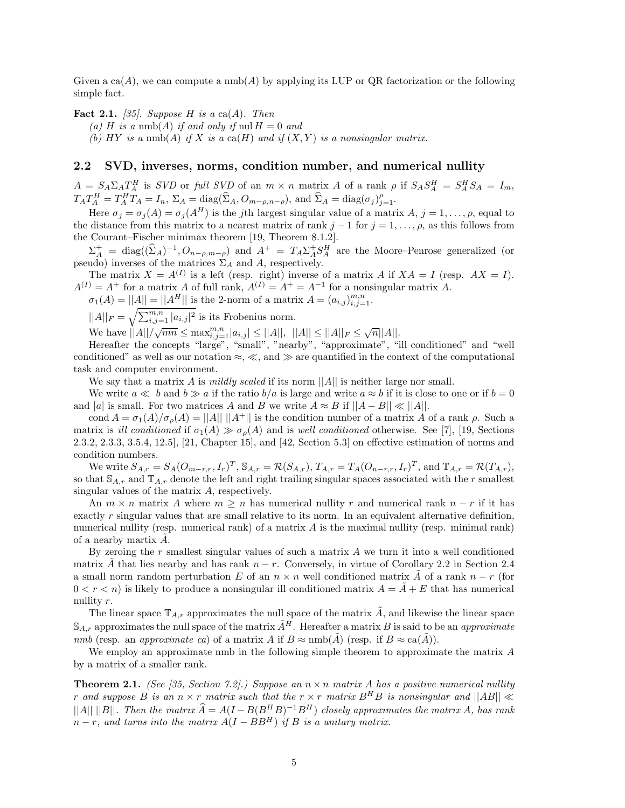Given a  $ca(A)$ , we can compute a nmb(A) by applying its LUP or QR factorization or the following simple fact.

**Fact 2.1.** *[35]. Suppose H is a* ca(*A*)*. Then*

 $(a)$  *H is a* nmb(*A*) *if and only if* nul  $H = 0$  *and* 

(b)  $HY$  *is a* nmb(A) *if*  $X$  *is a* ca( $H$ ) *and if*  $(X, Y)$  *is a nonsingular matrix.* 

## **2.2 SVD, inverses, norms, condition number, and numerical nullity**

 $A = S_A \Sigma_A T_A^H$  is *SVD* or full *SVD* of an  $m \times n$  matrix A of a rank  $\rho$  if  $S_A S_A^H = S_A^H S_A = I_m$ ,  $T_A T_A^H = T_A^H T_A = I_n$ ,  $\Sigma_A = \text{diag}(\widehat{\Sigma}_A, O_{m-\rho,n-\rho})$ , and  $\widehat{\Sigma}_A = \text{diag}(\sigma_j)_{j=1}^{\rho}$ .

Here  $\sigma_j = \sigma_j(A) = \sigma_j(A^H)$  is the *j*th largest singular value of a matrix *A*,  $j = 1, \ldots, \rho$ , equal to the distance from this matrix to a nearest matrix of rank  $j-1$  for  $j=1,\ldots,\rho$ , as this follows from the Courant–Fischer minimax theorem [19, Theorem 8.1.2].

 $\Sigma_A^+ = \text{diag}((\hat{\Sigma}_A)^{-1}, O_{n-\rho,m-\rho})$  and  $A^+ = T_A \Sigma_A^+ S_A^H$  are the Moore–Penrose generalized (or pseudo) inverses of the matrices  $\Sigma_A$  and A, respectively.

The matrix  $X = A^{(I)}$  is a left (resp. right) inverse of a matrix *A* if  $XA = I$  (resp.  $AX = I$ ).  $A^{(I)} = A^+$  for a matrix *A* of full rank,  $A^{(I)} = A^+ = A^{-1}$  for a nonsingular matrix *A*.

 $\sigma_1(A) = ||A|| = ||A^H||$  is the 2-norm of a matrix  $A = (a_{i,j})_{i,j=1}^{m,n}$ .

 $||A||_F = \sqrt{\sum_{i,j=1}^{m,n} |a_{i,j}|^2}$  is its Frobenius norm.

 $\forall i \in \mathbb{N} \text{ and } i \in \mathbb{N}$ <br>
We have  $||A||/\sqrt{mn} \leq \max_{i,j=1}^{m,n} |a_{i,j}| \leq ||A||, ||A|| \leq ||A||_F \leq \sqrt{n}||A||.$ 

Hereafter the concepts "large", "small", "nearby", "approximate", "ill conditioned" and "well conditioned" as well as our notation  $\approx$ ,  $\ll$ , and  $\gg$  are quantified in the context of the computational task and computer environment.

We say that a matrix *A* is *mildly scaled* if its norm ||*A*|| is neither large nor small.

We write  $a \ll b$  and  $b \gg a$  if the ratio  $b/a$  is large and write  $a \approx b$  if it is close to one or if  $b = 0$ and |a| is small. For two matrices *A* and *B* we write  $A \approx B$  if  $||A - B|| \ll ||A||$ .

cond  $A = \sigma_1(A)/\sigma_\rho(A) = ||A|| \, ||A^+||$  is the condition number of a matrix *A* of a rank  $\rho$ . Such a matrix is *ill conditioned* if  $\sigma_1(A) \gg \sigma_\rho(A)$  and is *well conditioned* otherwise. See [7], [19, Sections 2.3.2, 2.3.3, 3.5.4, 12.5], [21, Chapter 15], and [42, Section 5.3] on effective estimation of norms and condition numbers.

We write  $S_{A,r} = S_A (O_{m-r,r}, I_r)^T$ ,  $S_{A,r} = \mathcal{R}(S_{A,r})$ ,  $T_{A,r} = T_A (O_{n-r,r}, I_r)^T$ , and  $\mathbb{T}_{A,r} = \mathcal{R}(T_{A,r})$ , so that  $\mathbb{S}_{A,r}$  and  $\mathbb{T}_{A,r}$  denote the left and right trailing singular spaces associated with the *r* smallest singular values of the matrix *A*, respectively.

An  $m \times n$  matrix A where  $m > n$  has numerical nullity r and numerical rank  $n - r$  if it has exactly *r* singular values that are small relative to its norm. In an equivalent alternative definition, numerical nullity (resp. numerical rank) of a matrix *A* is the maximal nullity (resp. minimal rank) of a nearby martix *A*˜.

By zeroing the *r* smallest singular values of such a matrix *A* we turn it into a well conditioned matrix  $\tilde{A}$  that lies nearby and has rank  $n - r$ . Conversely, in virtue of Corollary 2.2 in Section 2.4 a small norm random perturbation *E* of an  $n \times n$  well conditioned matrix *A* of a rank  $n - r$  (for  $0 < r < n$ ) is likely to produce a nonsingular ill conditioned matrix  $A = \tilde{A} + E$  that has numerical nullity *r*.

The linear space  $\mathbb{T}_{A,r}$  approximates the null space of the matrix  $\tilde{A}$ , and likewise the linear space  $\mathbb{S}_{A,r}$  approximates the null space of the matrix  $\tilde{A}^H$ . Hereafter a matrix *B* is said to be an *approximate nmb* (resp. an *approximate ca*) of a matrix *A* if  $B \approx \text{nmb}(\tilde{A})$  (resp. if  $B \approx \text{ca}(\tilde{A})$ ).

We employ an approximate nmb in the following simple theorem to approximate the matrix *A* by a matrix of a smaller rank.

**Theorem 2.1.** *(See [35, Section 7.2].) Suppose an*  $n \times n$  *matrix A has a positive numerical nullity r* and suppose *B* is an  $n \times r$  *matrix* such that the  $r \times r$  *matrix*  $B$ <sup>*H*</sup>*B* is nonsingular and  $||AB|| \ll$ ||*A*|| ||*B*||*. Then the matrix*  $\widehat{A} = A(I - B(B^H B)^{-1}B^H)$  *closely approximates the matrix A, has rank*  $n - r$ *, and turns into the matrix*  $A(I - BB^H)$  *if B is a unitary matrix.*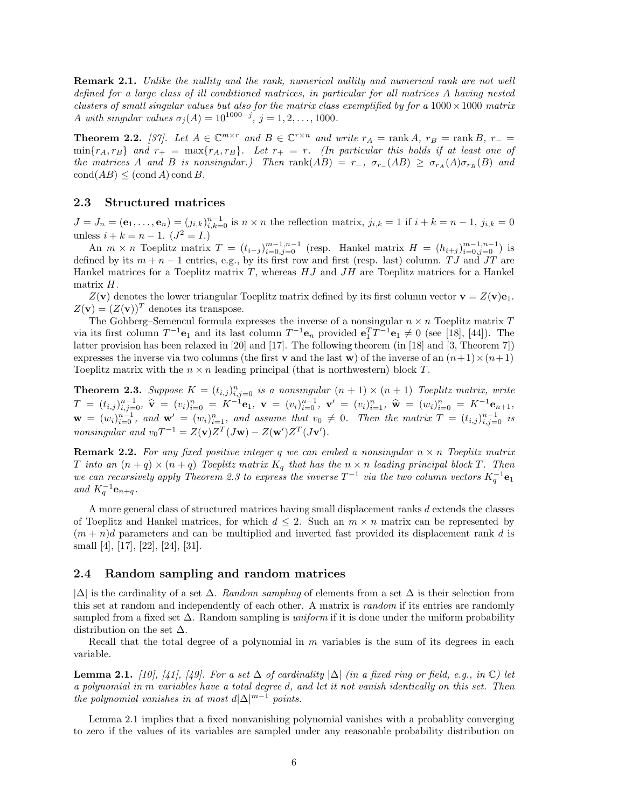**Remark 2.1.** *Unlike the nullity and the rank, numerical nullity and numerical rank are not well defined for a large class of ill conditioned matrices, in particular for all matrices A having nested clusters of small singular values but also for the matrix class exemplified by for a*  $1000 \times 1000$  *matrix A with singular values*  $\sigma_j(A) = 10^{1000-j}$ ,  $j = 1, 2, ..., 1000$ .

**Theorem 2.2.** [37]. Let  $A \in \mathbb{C}^{m \times r}$  and  $B \in \mathbb{C}^{r \times n}$  and write  $r_A = \text{rank } A$ ,  $r_B = \text{rank } B$ ,  $r_- =$  $\min\{r_A, r_B\}$  and  $r_+ = \max\{r_A, r_B\}$ . Let  $r_+ = r$ . (In particular this holds if at least one of the matrices A and B is nonsingular.) Then rank  $(AB) = r_-, \sigma_{r_-}(AB) \geq \sigma_{r_A}(A)\sigma_{r_B}(B)$  and  $\operatorname{cond}(AB) \leq (\operatorname{cond} A) \operatorname{cond} B$ *.* 

## **2.3 Structured matrices**

 $J = J_n = (e_1, \ldots, e_n) = (j_{i,k})_{i,k=0}^{n-1}$  is  $n \times n$  the reflection matrix,  $j_{i,k} = 1$  if  $i + k = n - 1$ ,  $j_{i,k} = 0$ unless  $i + k = n - 1$ .  $(J^2 = I)$ 

An  $m \times n$  Toeplitz matrix  $T = (t_{i-j})_{i=0,j=0}^{m-1,n-1}$  (resp. Hankel matrix  $H = (h_{i+j})_{i=0,j=0}^{m-1,n-1}$ ) is defined by its *m* + *n* − 1 entries, e.g., by its first row and first (resp. last) column. *T J* and *JT* are Hankel matrices for a Toeplitz matrix *T*, whereas *HJ* and *JH* are Toeplitz matrices for a Hankel matrix *H*.

 $Z(\mathbf{v})$  denotes the lower triangular Toeplitz matrix defined by its first column vector  $\mathbf{v} = Z(\mathbf{v})\mathbf{e}_1$ .  $Z(\mathbf{v})=(Z(\mathbf{v}))^T$  denotes its transpose.

The Gohberg–Semencul formula expresses the inverse of a nonsingular  $n \times n$  Toeplitz matrix  $T$ via its first column  $T^{-1}\mathbf{e}_1$  and its last column  $T^{-1}\mathbf{e}_n$  provided  $\mathbf{e}_1^T T^{-1}\mathbf{e}_1 \neq 0$  (see [18], [44]). The latter provision has been relaxed in [20] and [17]. The following theorem (in [18] and [3, Theorem 7]) expresses the inverse via two columns (the first **v** and the last **w**) of the inverse of an  $(n+1)\times(n+1)$ Toeplitz matrix with the  $n \times n$  leading principal (that is northwestern) block *T*.

**Theorem 2.3.** Suppose  $K = (t_{i,j})_{i,j=0}^n$  is a nonsingular  $(n + 1) \times (n + 1)$  Toeplitz matrix, write  $T = (t_{i,j})_{i,j=0}^{n-1}, \; \widehat{\mathbf{v}} = (v_i)_{i=0}^n = K^{-1} \mathbf{e}_1, \; \mathbf{v} = (v_i)_{i=0}^{n-1}, \; \mathbf{v}' = (v_i)_{i=1}^n, \; \widehat{\mathbf{w}} = (w_i)_{i=0}^n = K^{-1} \mathbf{e}_{n+1},$  $\mathbf{w} = (w_i)_{i=0}^{n-1}$ , and  $\mathbf{w}' = (w_i)_{i=1}^n$ , and assume that  $v_0 \neq 0$ . Then the matrix  $T = (t_{i,j})_{i,j=0}^{n-1}$  is *nonsingular and*  $v_0T^{-1} = Z(\mathbf{v})Z^T(J\mathbf{w}) - Z(\mathbf{w}')Z^T(J\mathbf{v}')$ .

**Remark 2.2.** For any fixed positive integer q we can embed a nonsingular  $n \times n$  Toeplitz matrix *T into an*  $(n+q) \times (n+q)$  *Toeplitz matrix*  $K_q$  *that has the*  $n \times n$  *leading principal block T. Then we can recursively apply Theorem 2.3 to express the inverse*  $T^{-1}$  *via the two column vectors*  $K_q^{-1}$ **e**<sub>1</sub> *and*  $K_q^{-1}$ **e**<sub>*n*+*q*</sub>.

A more general class of structured matrices having small displacement ranks *d* extends the classes of Toeplitz and Hankel matrices, for which  $d \leq 2$ . Such an  $m \times n$  matrix can be represented by  $(m + n)d$  parameters and can be multiplied and inverted fast provided its displacement rank *d* is small [4], [17], [22], [24], [31].

## **2.4 Random sampling and random matrices**

|∆| is the cardinality of a set ∆. *Random sampling* of elements from a set ∆ is their selection from this set at random and independently of each other. A matrix is *random* if its entries are randomly sampled from a fixed set ∆. Random sampling is *uniform* if it is done under the uniform probability distribution on the set  $\Delta$ .

Recall that the total degree of a polynomial in *m* variables is the sum of its degrees in each variable.

**Lemma 2.1.** *[10], [41], [49]. For a set* ∆ *of cardinality*  $|\Delta|$  *(in a fixed ring or field, e.g., in* ℂ) let *a polynomial in m variables have a total degree d, and let it not vanish identically on this set. Then the polynomial vanishes in at most*  $d|\Delta|^{m-1}$  *points.* 

Lemma 2.1 implies that a fixed nonvanishing polynomial vanishes with a probablity converging to zero if the values of its variables are sampled under any reasonable probability distribution on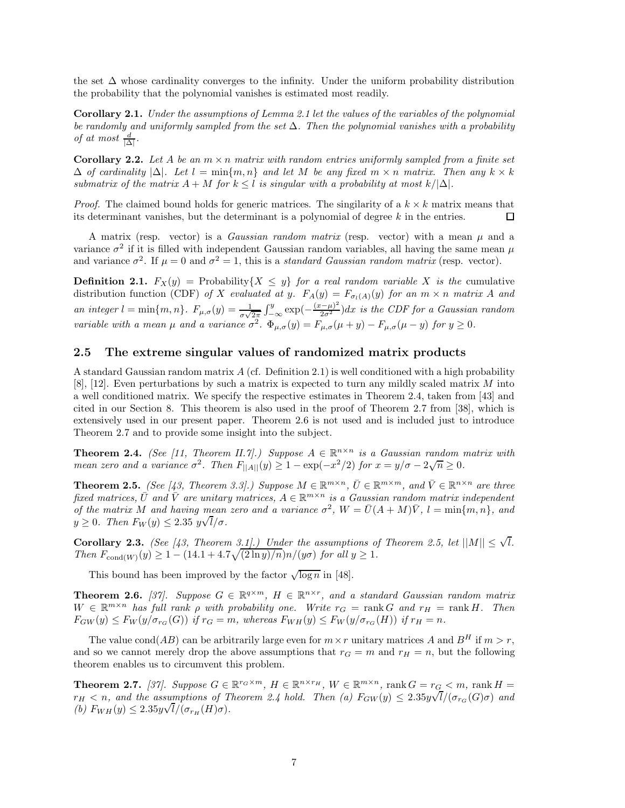the set ∆ whose cardinality converges to the infinity. Under the uniform probability distribution the probability that the polynomial vanishes is estimated most readily.

**Corollary 2.1.** *Under the assumptions of Lemma 2.1 let the values of the variables of the polynomial be randomly and uniformly sampled from the set* ∆*. Then the polynomial vanishes with a probability of at most*  $\frac{d}{|\Delta|}$ *.* 

**Corollary 2.2.** Let A be an  $m \times n$  matrix with random entries uniformly sampled from a finite set ∆ *of cardinality* |∆|*. Let l* = min{*m, n*} *and let M be any fixed m* × *n matrix. Then any k* × *k submatrix of the matrix*  $A + M$  *for*  $k \leq l$  *is singular with a probability at most*  $k/|\Delta|$ *.* 

*Proof.* The claimed bound holds for generic matrices. The singularity of a  $k \times k$  matrix means that its determinant vanishes, but the determinant is a polynomial of degree *k* in the entries. 口

A matrix (resp. vector) is a *Gaussian random matrix* (resp. vector) with a mean *µ* and a variance  $\sigma^2$  if it is filled with independent Gaussian random variables, all having the same mean  $\mu$ and variance  $\sigma^2$ . If  $\mu = 0$  and  $\sigma^2 = 1$ , this is a *standard Gaussian random matrix* (resp. vector).

**Definition 2.1.**  $F_X(y) = \text{Probability}\{X \leq y\}$  *for a real random variable X is the* cumulative distribution function (CDF) of X evaluated at y.  $F_A(y) = F_{\sigma_l(A)}(y)$  for an  $m \times n$  matrix A and *an integer*  $l = \min\{m, n\}$ .  $F_{\mu,\sigma}(y) = \frac{1}{\sigma\sqrt{2\pi}} \int_{-\infty}^{y} \exp\left(-\frac{(x-\mu)^2}{2\sigma^2}\right) dx$  *is the CDF for a Gaussian random variable with a mean*  $\mu$  *and a variance*  $\sigma^2$ .  $\Phi_{\mu,\sigma}(y) = F_{\mu,\sigma}(\mu + y) - F_{\mu,\sigma}(\mu - y)$  *for*  $y \ge 0$ *.* 

## **2.5 The extreme singular values of randomized matrix products**

A standard Gaussian random matrix *A* (cf. Definition 2.1) is well conditioned with a high probability [8], [12]. Even perturbations by such a matrix is expected to turn any mildly scaled matrix *M* into a well conditioned matrix. We specify the respective estimates in Theorem 2.4, taken from [43] and cited in our Section 8. This theorem is also used in the proof of Theorem 2.7 from [38], which is extensively used in our present paper. Theorem 2.6 is not used and is included just to introduce Theorem 2.7 and to provide some insight into the subject.

**Theorem 2.4.** *(See [11, Theorem II.7].) Suppose*  $A \in \mathbb{R}^{n \times n}$  *is a Gaussian random matrix with mean zero and a variance*  $\sigma^2$ . Then  $F_{\vert A \vert \vert}(y) \geq 1 - \exp(-x^2/2)$  for  $x = y/\sigma - 2\sqrt{n} \geq 0$ .

**Theorem 2.5.** *(See [43, Theorem 3.3].) Suppose*  $M \in \mathbb{R}^{m \times n}$ ,  $\overline{U} \in \mathbb{R}^{m \times m}$ , and  $\overline{V} \in \mathbb{R}^{n \times n}$  are three *fixed matrices,*  $\overline{U}$  *and*  $\overline{V}$  *are unitary matrices,*  $A \in \mathbb{R}^{m \times n}$  *is a Gaussian random matrix independent of the matrix M and having mean zero and a variance*  $\sigma^2$ ,  $W = \bar{U}(A + M)\bar{V}$ ,  $l = \min\{m, n\}$ , and  $y \geq 0$ *. Then*  $F_W(y) \leq 2.35$   $y\sqrt{l}/\sigma$ *.* 

**Corollary 2.3.** *(See [43, Theorem 3.1].) Under the assumptions of Theorem 2.5, let*  $||M|| \leq \sqrt{l}$ *. Then*  $F_{\text{cond}(W)}(y) \geq 1 - (14.1 + 4.7\sqrt{(2 \ln y)/n})n/(y\sigma)$  *for all*  $y \geq 1$ *.* 

This bound has been improved by the factor  $\sqrt{\log n}$  in [48].

**Theorem 2.6.** [37]. Suppose  $G \in \mathbb{R}^{q \times m}$ ,  $H \in \mathbb{R}^{n \times r}$ , and a standard Gaussian random matrix  $W \in \mathbb{R}^{m \times n}$  *has full rank*  $\rho$  *with probability one. Write*  $r_G = \text{rank } G$  *and*  $r_H = \text{rank } H$ *. Then*  $F_{GW}(y) \leq F_W(y/\sigma_{r_G}(G))$  if  $r_G = m$ , whereas  $F_{WH}(y) \leq F_W(y/\sigma_{r_G}(H))$  if  $r_H = n$ .

The value cond(*AB*) can be arbitrarily large even for  $m \times r$  unitary matrices *A* and *B<sup>H</sup>* if  $m > r$ , and so we cannot merely drop the above assumptions that  $r<sub>G</sub> = m$  and  $r<sub>H</sub> = n$ , but the following theorem enables us to circumvent this problem.

**Theorem 2.7.** [37]. Suppose  $G \in \mathbb{R}^{r_G \times m}$ ,  $H \in \mathbb{R}^{n \times r_H}$ ,  $W \in \mathbb{R}^{m \times n}$ , rank  $G = r_G < m$ , rank  $H =$  $r_H < n$ , and the assumptions of Theorem 2.4 hold. Then (a)  $F_{GW}(y) \leq 2.35y\sqrt{l/(\sigma_{r_G}(G)\sigma)}$  and  $(b)$   $F_{WH}(y) \leq 2.35y\sqrt{l/(\sigma_{r_H}(H)\sigma)}$ .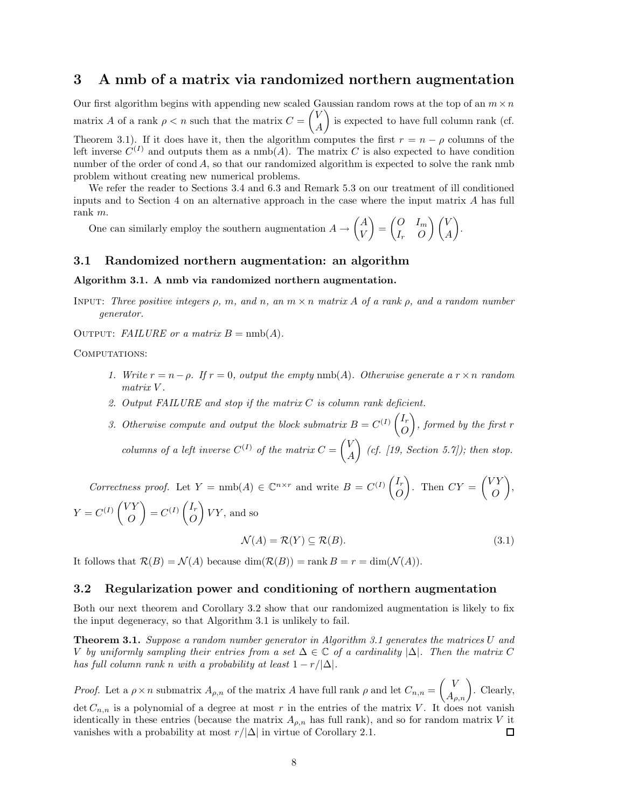## **3 A nmb of a matrix via randomized northern augmentation**

Our first algorithm begins with appending new scaled Gaussian random rows at the top of an  $m \times n$ matrix *A* of a rank  $\rho < n$  such that the matrix  $C = \begin{pmatrix} V & V \\ V & V \end{pmatrix}$ *A* - is expected to have full column rank (cf. Theorem 3.1). If it does have it, then the algorithm computes the first  $r = n - \rho$  columns of the left inverse  $C^{(I)}$  and outputs them as a nmb(A). The matrix C is also expected to have condition number of the order of cond A, so that our randomized algorithm is expected to solve the rank nmb problem without creating new numerical problems.

We refer the reader to Sections 3.4 and 6.3 and Remark 5.3 on our treatment of ill conditioned inputs and to Section 4 on an alternative approach in the case where the input matrix *A* has full rank *m*.

One can similarly employ the southern augmentation  $A \to \begin{pmatrix} A \\ V \end{pmatrix}$ *V*  $= \begin{pmatrix} 0 & I_m \\ I & 0 \end{pmatrix}$ *I<sup>r</sup> O*  $\setminus$  *V A* - .

## **3.1 Randomized northern augmentation: an algorithm**

#### **Algorithm 3.1. A nmb via randomized northern augmentation.**

Input: *Three positive integers ρ, m, and n, an m* × *n matrix A of a rank ρ, and a random number generator.*

OUTPUT: *FAILURE or a matrix*  $B = \text{nmb}(A)$ .

COMPUTATIONS:

- *1. Write*  $r = n \rho$ *. If*  $r = 0$ *, output the empty* nmb(*A*)*. Otherwise generate*  $a r \times n$  *random matrix V .*
- *2. Output FAILURE and stop if the matrix C is column rank deficient.*
- 3. Otherwise compute and output the block submatrix  $B = C^{(I)} \begin{pmatrix} I_r \\ O \end{pmatrix}$ *O*  $\bigg),$  formed by the first *r columns of a left inverse*  $C^{(I)}$  *of the matrix*  $C = \begin{pmatrix} V & V \\ V & V \end{pmatrix}$ *A* - *(cf. [19, Section 5.7]); then stop.*

*Correctness proof.* Let  $Y = \text{nmb}(A) \in \mathbb{C}^{n \times r}$  and write  $B = C^{(I)} \begin{pmatrix} I_r \\ O \end{pmatrix}$ *O* ). Then  $CY = \begin{pmatrix} VY \\ O \end{pmatrix}$ *O* - ,  $Y = C^{(I)} \begin{pmatrix} VY \\ O \end{pmatrix}$ *O*  $\Big) = C^{(I)} \left( \frac{I_r}{2} \right)$ *O*  $VY$ , and so

$$
\mathcal{N}(A) = \mathcal{R}(Y) \subseteq \mathcal{R}(B). \tag{3.1}
$$

It follows that  $\mathcal{R}(B) = \mathcal{N}(A)$  because  $\dim(\mathcal{R}(B)) = \text{rank } B = r = \dim(\mathcal{N}(A)).$ 

## **3.2 Regularization power and conditioning of northern augmentation**

Both our next theorem and Corollary 3.2 show that our randomized augmentation is likely to fix the input degeneracy, so that Algorithm 3.1 is unlikely to fail.

**Theorem 3.1.** *Suppose a random number generator in Algorithm 3.1 generates the matrices U and V by uniformly sampling their entries from a set*  $\Delta \in \mathbb{C}$  *of a cardinality*  $|\Delta|$ *. Then the matrix C has full column rank n with a probability at least*  $1 - r/|\Delta|$ *.* 

*Proof.* Let a  $\rho \times n$  submatrix  $A_{\rho,n}$  of the matrix *A* have full rank  $\rho$  and let  $C_{n,n} = \begin{pmatrix} V \\ A_{\rho,n} \end{pmatrix}$ . Clearly, det  $C_{n,n}$  is a polynomial of a degree at most r in the entries of the matrix V. It does not vanish identically in these entries (because the matrix  $A_{\rho,n}$  has full rank), and so for random matrix *V* it vanishes with a probability at most  $r/|\Delta|$  in virtue of Corollary 2.1. □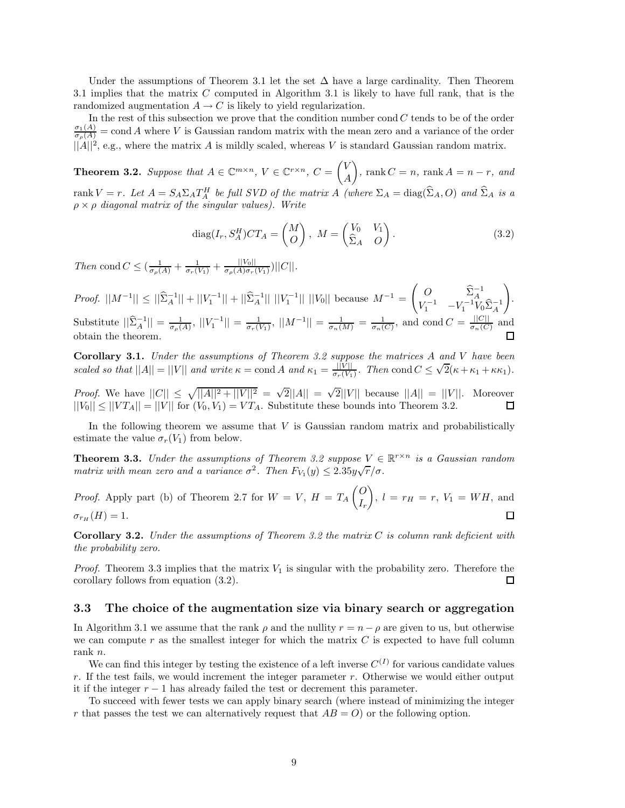Under the assumptions of Theorem 3.1 let the set  $\Delta$  have a large cardinality. Then Theorem 3.1 implies that the matrix *C* computed in Algorithm 3.1 is likely to have full rank, that is the randomized augmentation  $A \to C$  is likely to yield regularization.

In the rest of this subsection we prove that the condition number cond *C* tends to be of the order  $\frac{\sigma_1(A)}{\sigma_\rho(A)} = \text{cond } A$  where *V* is Gaussian random matrix with the mean zero and a variance of the order  $||A||^2$ , e.g., where the matrix *A* is mildly scaled, whereas *V* is standard Gaussian random matrix.

**Theorem 3.2.** Suppose that  $A \in \mathbb{C}^{m \times n}$ ,  $V \in \mathbb{C}^{r \times n}$ ,  $C = \begin{pmatrix} V & \mathcal{F} \\ \mathcal{F} & \mathcal{F} \end{pmatrix}$ *A*  $\bigg), \text{ rank } C = n, \text{ rank } A = n - r, \text{ and}$ rank  $V = r$ . Let  $A = S_A \Sigma_A T_A^H$  be full SVD of the matrix A (where  $\Sigma_A = \text{diag}(\hat{\Sigma}_A, O)$  and  $\hat{\Sigma}_A$  is a *ρ* × *ρ diagonal matrix of the singular values). Write*

$$
diag(I_r, S_A^H)CT_A = \begin{pmatrix} M \\ O \end{pmatrix}, \ M = \begin{pmatrix} V_0 & V_1 \\ \hat{\Sigma}_A & O \end{pmatrix}.
$$
 (3.2)

*Then* cond  $C \leq (\frac{1}{\sigma_{\rho}(A)} + \frac{1}{\sigma_{\rho}(Y_1)} + \frac{||V_0||}{\sigma_{\rho}(A)\sigma_{\tau}(V_1)})||C||$ .

*Proof.*  $||M^{-1}|| \le ||\hat{\Sigma}_A^{-1}|| + ||V_1^{-1}|| + ||\hat{\Sigma}_A^{-1}|| ||V_1^{-1}|| ||V_0||$  because  $M^{-1} =$  $\begin{pmatrix} O & \hat{\Sigma}_A^{-1} \\ V_1^{-1} & -V_1^{-1}V_0\hat{\Sigma}_A^{-1} \end{pmatrix}$  $\setminus$ . Substitute  $||\hat{\Sigma}_A^{-1}|| = \frac{1}{\sigma_\rho(A)}, ||V_1^{-1}|| = \frac{1}{\sigma_r(V_1)}, ||M^{-1}|| = \frac{1}{\sigma_n(M)} = \frac{1}{\sigma_n(C)},$  and cond  $C = \frac{||C||}{\sigma_n(C)}$  and obtain the theorem.

**Corollary 3.1.** *Under the assumptions of Theorem 3.2 suppose the matrices A and V have been* coronary 3.1. Onder the assumptions of Theorem 3.2 suppose the matrices A and V have been<br>scaled so that  $||A|| = ||V||$  and write  $\kappa = \text{cond } A$  and  $\kappa_1 = \frac{||V||}{\sigma_r(V_1)}$ . Then  $\text{cond } C \leq \sqrt{2}(\kappa + \kappa_1 + \kappa \kappa_1)$ .

*Proof.* We have  $||C|| \le \sqrt{||A||^2 + ||V||^2} = \sqrt{2}||A|| = \sqrt{2}||V||$  because  $||A|| = ||V||$ . Moreover  $||V_0|| \le ||VT_A|| = ||V||$  for  $(V_0, V_1) = VT_A$ . Substitute these bounds into Theorem 3.2.

In the following theorem we assume that *V* is Gaussian random matrix and probabilistically estimate the value  $\sigma_r(V_1)$  from below.

**Theorem 3.3.** *Under the assumptions of Theorem 3.2 suppose*  $V \in \mathbb{R}^{r \times n}$  *is a Gaussian random matrix with mean zero and a variance*  $\sigma^2$ . Then  $F_{V_1}(y) \leq 2.35y\sqrt{r/\sigma}$ .

*Proof.* Apply part (b) of Theorem 2.7 for  $W = V$ ,  $H = T_A \begin{pmatrix} 0 & 0 \\ 0 & 0 \end{pmatrix}$  $\bigg), l = r_H = r, V_1 = WH, \text{and}$ *Ir*  $\sigma_{r_H}(H) = 1.$  $\Box$ 

**Corollary 3.2.** *Under the assumptions of Theorem 3.2 the matrix C is column rank deficient with the probability zero.*

*Proof.* Theorem 3.3 implies that the matrix *V*<sup>1</sup> is singular with the probability zero. Therefore the  $\Box$ corollary follows from equation (3.2).

## **3.3 The choice of the augmentation size via binary search or aggregation**

In Algorithm 3.1 we assume that the rank  $\rho$  and the nullity  $r = n - \rho$  are given to us, but otherwise we can compute  $r$  as the smallest integer for which the matrix  $C$  is expected to have full column rank *n*.

We can find this integer by testing the existence of a left inverse  $C^{(I)}$  for various candidate values *r*. If the test fails, we would increment the integer parameter *r*. Otherwise we would either output it if the integer  $r - 1$  has already failed the test or decrement this parameter.

To succeed with fewer tests we can apply binary search (where instead of minimizing the integer *r* that passes the test we can alternatively request that  $AB = O$  or the following option.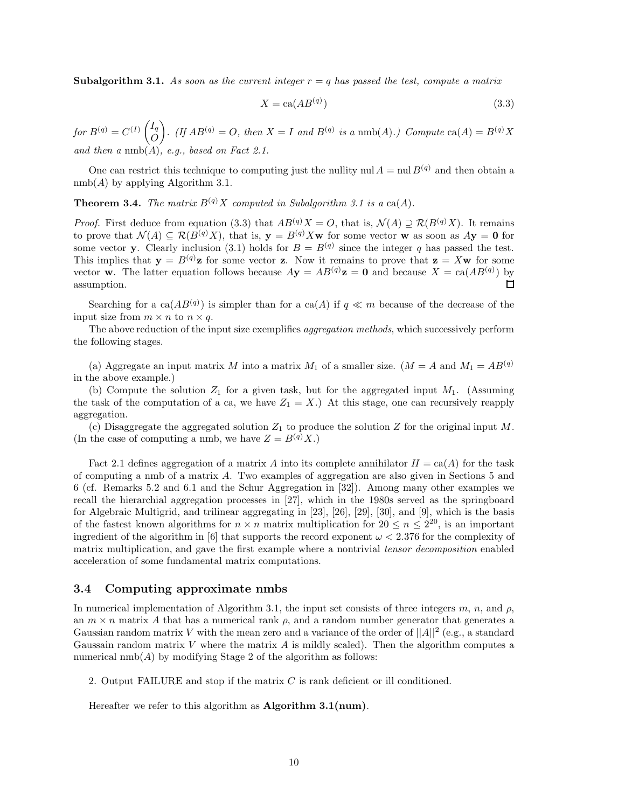**Subalgorithm 3.1.** As soon as the current integer  $r = q$  has passed the test, compute a matrix

$$
X = \text{ca}(AB^{(q)})\tag{3.3}
$$

 $for B^{(q)} = C^{(I)} \begin{pmatrix} I_q \\ O \end{pmatrix}$ *O .* (*If*  $AB^{(q)} = O$ *, then*  $X = I$  *and*  $B^{(q)}$  *is a* nmb(*A*)*.)* Compute ca(*A*) =  $B^{(q)}X$ *and then a* nmb(*A*)*, e.g., based on Fact 2.1.*

One can restrict this technique to computing just the nullity nul  $A = \text{null } B^{(q)}$  and then obtain a  $nmb(A)$  by applying Algorithm 3.1.

**Theorem 3.4.** *The matrix*  $B^{(q)}X$  *computed in Subalgorithm 3.1 is a* ca(*A*)*.* 

*Proof.* First deduce from equation (3.3) that  $AB^{(q)}X = O$ , that is,  $\mathcal{N}(A) \supseteq \mathcal{R}(B^{(q)}X)$ . It remains to prove that  $\mathcal{N}(A) \subseteq \mathcal{R}(B^{(q)}X)$ , that is,  $\mathbf{y} = B^{(q)}X\mathbf{w}$  for some vector **w** as soon as  $A\mathbf{y} = \mathbf{0}$  for some vector **y**. Clearly inclusion (3.1) holds for  $B = B^{(q)}$  since the integer q has passed the test. This implies that  $\mathbf{y} = B^{(q)}\mathbf{z}$  for some vector **z**. Now it remains to prove that  $\mathbf{z} = X\mathbf{w}$  for some vector **w**. The latter equation follows because  $A$ **y** =  $AB^{(q)}$ **z** = **0** and because  $X = ca(AB^{(q)})$  by assumption.  $\Box$ 

Searching for a ca $(AB^{(q)})$  is simpler than for a ca $(A)$  if  $q \ll m$  because of the decrease of the input size from  $m \times n$  to  $n \times q$ .

The above reduction of the input size exemplifies *aggregation methods*, which successively perform the following stages.

(a) Aggregate an input matrix *M* into a matrix  $M_1$  of a smaller size. ( $M = A$  and  $M_1 = AB^{(q)}$ in the above example.)

(b) Compute the solution *Z*<sup>1</sup> for a given task, but for the aggregated input *M*1. (Assuming the task of the computation of a ca, we have  $Z_1 = X$ .) At this stage, one can recursively reapply aggregation.

(c) Disaggregate the aggregated solution  $Z_1$  to produce the solution  $Z$  for the original input  $M$ . (In the case of computing a nmb, we have  $Z = B^{(q)}X$ .)

Fact 2.1 defines aggregation of a matrix A into its complete annihilator  $H = \text{ca}(A)$  for the task of computing a nmb of a matrix *A*. Two examples of aggregation are also given in Sections 5 and 6 (cf. Remarks 5.2 and 6.1 and the Schur Aggregation in [32]). Among many other examples we recall the hierarchial aggregation processes in [27], which in the 1980s served as the springboard for Algebraic Multigrid, and trilinear aggregating in [23], [26], [29], [30], and [9], which is the basis of the fastest known algorithms for  $n \times n$  matrix multiplication for  $20 \leq n \leq 2^{20}$ , is an important ingredient of the algorithm in [6] that supports the record exponent  $\omega < 2.376$  for the complexity of matrix multiplication, and gave the first example where a nontrivial *tensor decomposition* enabled acceleration of some fundamental matrix computations.

## **3.4 Computing approximate nmbs**

In numerical implementation of Algorithm 3.1, the input set consists of three integers  $m$ ,  $n$ , and  $\rho$ , an  $m \times n$  matrix A that has a numerical rank  $\rho$ , and a random number generator that generates a Gaussian random matrix *V* with the mean zero and a variance of the order of  $||A||^2$  (e.g., a standard Gaussain random matrix *V* where the matrix *A* is mildly scaled). Then the algorithm computes a numerical  $\text{nmb}(A)$  by modifying Stage 2 of the algorithm as follows:

2. Output FAILURE and stop if the matrix *C* is rank deficient or ill conditioned.

Hereafter we refer to this algorithm as **Algorithm 3.1(num)**.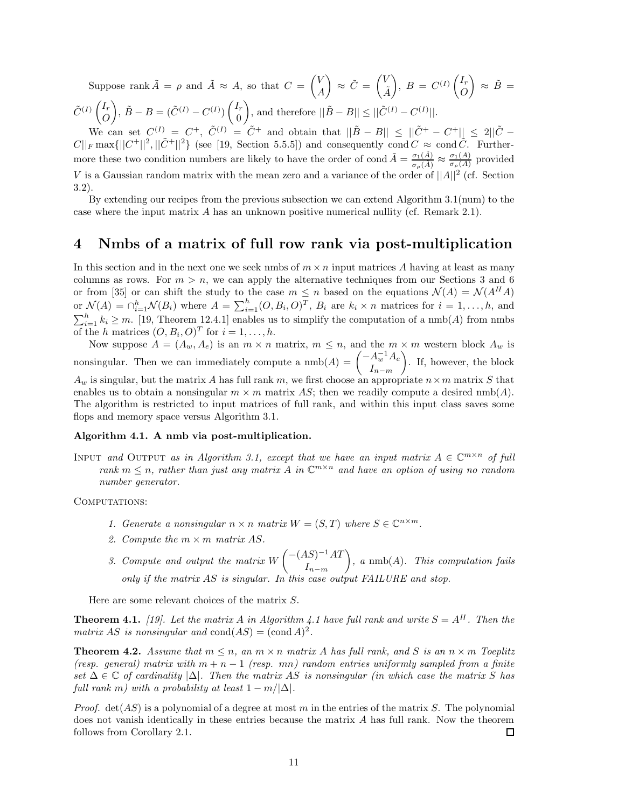Suppose rank  $\tilde{A} = \rho$  and  $\tilde{A} \approx A$ , so that  $C = \begin{pmatrix} V & V \\ V & V \end{pmatrix}$ *A*  $\bigg\} \approx \tilde{C} = \begin{pmatrix} V \\ \tilde{y} \end{pmatrix}$ *A*˜  $\Bigg), B = C^{(I)} \left( \frac{I_r}{Q} \right)$ *O*  $\Big) \approx \tilde{B} =$  $\tilde{C}^{(I)}$   $\begin{pmatrix} I_r \\ 0 \end{pmatrix}$ *O*  $\hat{B} - B = (\tilde{C}^{(I)} - C^{(I)}) \begin{pmatrix} I_r \\ 0 \end{pmatrix}$ 0  $\int$ , and therefore  $||\tilde{B} - B|| \leq ||\tilde{C}^{(I)} - C^{(I)}||.$ 

We can set  $C^{(I)} = C^+$ ,  $\tilde{C}^{(I)} = \tilde{C}^+$  and obtain that  $||\tilde{B} - B|| \leq ||\tilde{C}^+ - C^+|| \leq 2||\tilde{C} C||_F \max{||C^+||^2, ||\tilde{C}^+||^2}$  (see [19, Section 5.5.5]) and consequently cond  $C \approx \text{cond }\tilde{C}$ . Furthermore these two condition numbers are likely to have the order of cond  $\tilde{A} = \frac{\sigma_1(\tilde{A})}{\sigma_\rho(\tilde{A})} \approx \frac{\sigma_1(A)}{\sigma_\rho(A)}$  provided *V* is a Gaussian random matrix with the mean zero and a variance of the order of ||*A*||<sup>2</sup> (cf. Section 3.2).

By extending our recipes from the previous subsection we can extend Algorithm 3.1(num) to the case where the input matrix *A* has an unknown positive numerical nullity (cf. Remark 2.1).

## **4 Nmbs of a matrix of full row rank via post-multiplication**

In this section and in the next one we seek nmbs of  $m \times n$  input matrices A having at least as many columns as rows. For  $m > n$ , we can apply the alternative techniques from our Sections 3 and 6 or from [35] or can shift the study to the case  $m \leq n$  based on the equations  $\mathcal{N}(A) = \mathcal{N}(A^H A)$ or  $\mathcal{N}(A) = \bigcap_{i=1}^h \mathcal{N}(B_i)$  where  $A = \sum_{i=1}^h (O, B_i, O)^T$ ,  $B_i$  are  $k_i \times n$  matrices for  $i = 1, ..., h$ , and  $\sum_{i=1}^{h} k_i \geq m$ . [19, Theorem 12.4.1] enables us to simplify the computation of a nmb(*A*) from nmbs of the *h* matrices  $(O, B_i, O)^T$  for  $i = 1, \ldots, h$ .

Now suppose  $A = (A_w, A_e)$  is an  $m \times n$  matrix,  $m \leq n$ , and the  $m \times m$  western block  $A_w$  is nonsingular. Then we can immediately compute a  $\text{nmb}(A) = \begin{pmatrix} -A_w^{-1}A_e \\ I \end{pmatrix}$ *I<sup>n</sup>*−*<sup>m</sup>* - . If, however, the block  $A_w$  is singular, but the matrix *A* has full rank *m*, we first choose an appropriate  $n \times m$  matrix *S* that enables us to obtain a nonsingular  $m \times m$  matrix AS; then we readily compute a desired nmb(A). The algorithm is restricted to input matrices of full rank, and within this input class saves some flops and memory space versus Algorithm 3.1.

## **Algorithm 4.1. A nmb via post-multiplication.**

INPUT *and* OUTPUT *as in Algorithm 3.1, except that we have an input matrix*  $A \in \mathbb{C}^{m \times n}$  *of full rank*  $m \leq n$ , *rather than just any matrix* A *in*  $\mathbb{C}^{m \times n}$  *and have an option of using no random number generator.*

COMPUTATIONS:

- *1. Generate a nonsingular*  $n \times n$  *matrix*  $W = (S, T)$  *where*  $S \in \mathbb{C}^{n \times m}$ *.*
- 2. Compute the  $m \times m$  matrix AS.
- *3.* Compute and output the matrix  $W\begin{pmatrix} -(AS)^{-1}AT \end{pmatrix}$ *I<sup>n</sup>*−*<sup>m</sup>* - *, a* nmb(*A*)*. This computation fails only if the matrix AS is singular. In this case output FAILURE and stop.*

Here are some relevant choices of the matrix *S*.

**Theorem 4.1.** [19]. Let the matrix A in Algorithm 4.1 have full rank and write  $S = A^H$ . Then the *matrix AS is nonsingular and*  $cond(AS) = (cond A)^2$ .

**Theorem 4.2.** Assume that  $m \leq n$ , an  $m \times n$  matrix A has full rank, and S is an  $n \times m$  Toeplitz *(resp. general) matrix with*  $m + n - 1$  *(resp. mn) random entries uniformly sampled from a finite set* ∆ ∈ C *of cardinality* |∆|*. Then the matrix AS is nonsingular (in which case the matrix S has full rank m)* with a probability at least  $1 - m/|\Delta|$ *.* 

*Proof.* det(*AS*) is a polynomial of a degree at most *m* in the entries of the matrix *S*. The polynomial does not vanish identically in these entries because the matrix *A* has full rank. Now the theorem follows from Corollary 2.1. □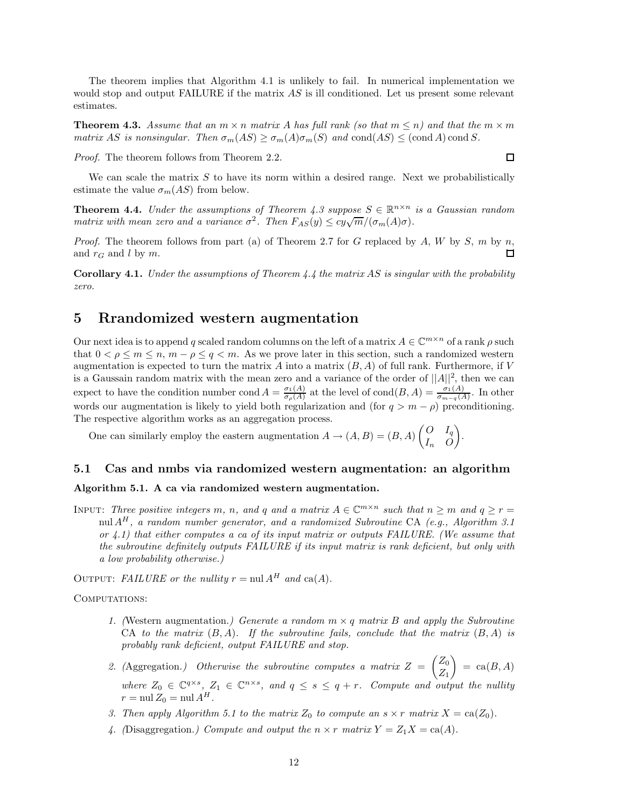The theorem implies that Algorithm 4.1 is unlikely to fail. In numerical implementation we would stop and output FAILURE if the matrix *AS* is ill conditioned. Let us present some relevant estimates.

**Theorem 4.3.** *Assume that an*  $m \times n$  *matrix A has full rank (so that*  $m \leq n$ ) *and that the*  $m \times m$ *matrix AS is nonsingular. Then*  $\sigma_m(AS) \geq \sigma_m(A)\sigma_m(S)$  *and* cond(*AS*)  $\leq$  (cond *A*) cond *S.* 

*Proof.* The theorem follows from Theorem 2.2.

We can scale the matrix S to have its norm within a desired range. Next we probabilistically estimate the value  $\sigma_m(AS)$  from below.

**Theorem 4.4.** *Under the assumptions of Theorem 4.3 suppose*  $S \in \mathbb{R}^{n \times n}$  *is a Gaussian random matrix with mean zero and a variance*  $\sigma^2$ *. Then*  $F_{AS}(y) \leq cy\sqrt{m}/(\sigma_m(A)\sigma)$ *.* 

*Proof.* The theorem follows from part (a) of Theorem 2.7 for *G* replaced by *A*, *W* by *S*, *m* by *n*, 口 and  $r_G$  and  $l$  by  $m$ .

**Corollary 4.1.** *Under the assumptions of Theorem 4.4 the matrix AS is singular with the probability zero.*

## **5 Rrandomized western augmentation**

Our next idea is to append *q* scaled random columns on the left of a matrix  $A \in \mathbb{C}^{m \times n}$  of a rank  $\rho$  such that  $0 < \rho \leq m \leq n$ ,  $m - \rho \leq q < m$ . As we prove later in this section, such a randomized western augmentation is expected to turn the matrix  $A$  into a matrix  $(B, A)$  of full rank. Furthermore, if  $V$ is a Gaussain random matrix with the mean zero and a variance of the order of  $||A||^2$ , then we can expect to have the condition number cond  $A = \frac{\sigma_1(A)}{\sigma_p(A)}$  at the level of cond $(B, A) = \frac{\sigma_1(A)}{\sigma_{m-q}(A)}$ . In other words our augmentation is likely to yield both regularization and (for  $q > m - \rho$ ) preconditioning. The respective algorithm works as an aggregation process.

One can similarly employ the eastern augmentation  $A \to (A, B) = (B, A) \begin{pmatrix} O & I_q \\ I & O \end{pmatrix}$ *I<sup>n</sup> O* - .

## **5.1 Cas and nmbs via randomized western augmentation: an algorithm**

## **Algorithm 5.1. A ca via randomized western augmentation.**

INPUT: *Three positive integers m, n,* and *q* and a matrix  $A \in \mathbb{C}^{m \times n}$  such that  $n \geq m$  and  $q \geq r =$ nul *A<sup>H</sup> , a random number generator, and a randomized Subroutine* CA *(e.g., Algorithm 3.1 or 4.1) that either computes a ca of its input matrix or outputs FAILURE. (We assume that the subroutine definitely outputs FAILURE if its input matrix is rank deficient, but only with a low probability otherwise.)*

OUTPUT: *FAILURE* or the nullity  $r = \text{null } A^H$  and  $\text{ca}(A)$ .

#### COMPUTATIONS:

- *1. (*Western augmentation.*) Generate a random m* × *q matrix B and apply the Subroutine* CA *to the matrix* (*B, A*)*. If the subroutine fails, conclude that the matrix* (*B, A*) *is probably rank deficient, output FAILURE and stop.*
- 2. (Aggregation.) Otherwise the subroutine computes a matrix  $Z = \begin{pmatrix} Z_0 \\ Z \end{pmatrix}$ *Z*<sup>1</sup>  $\Big) = \text{ca}(B, A)$ *where*  $Z_0 \in \mathbb{C}^{q \times s}$ ,  $Z_1 \in \mathbb{C}^{n \times s}$ , and  $q \leq s \leq q + r$ . Compute and output the nullity  $r = \text{null } Z_0 = \text{null } A^H.$
- *3. Then apply Algorithm 5.1 to the matrix*  $Z_0$  *to compute an*  $s \times r$  *matrix*  $X = \text{ca}(Z_0)$ *.*
- 4. (Disaggregation.) Compute and output the  $n \times r$  matrix  $Y = Z_1 X = ca(A)$ .

 $\Box$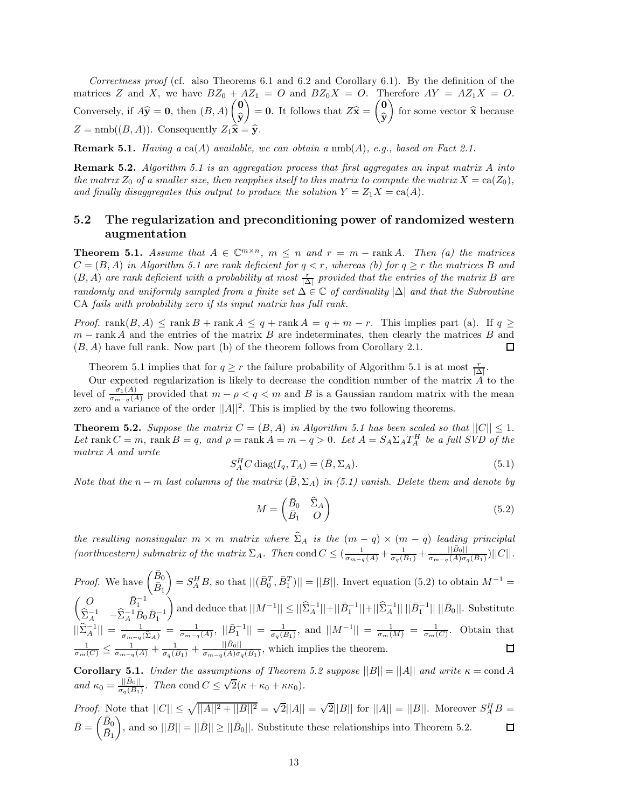*Correctness proof* (cf. also Theorems 6.1 and 6.2 and Corollary 6.1). By the definition of the matrices *Z* and *X*, we have  $BZ_0 + AZ_1 = O$  and  $BZ_0X = O$ . Therefore  $AY = AZ_1X = O$ . Conversely, if  $A\hat{y} = 0$ , then  $(B, A)$   $\begin{pmatrix} 0 \\ \hat{y} \end{pmatrix}$  $\widehat{\mathbf{y}}$  $\left( \begin{array}{c} 0 \\ \hat{\mathbf{y}} \end{array} \right) = \mathbf{0}.$  It follows that  $Z\hat{\mathbf{x}} = \begin{pmatrix} 0 \\ \hat{\mathbf{y}} \end{pmatrix}$ **y** for some vector  $\hat{\mathbf{x}}$  because  $Z = \text{nmb}((B, A))$ . Consequently  $Z_1 \hat{\hat{\mathbf{x}}} = \hat{\mathbf{y}}$ .

**Remark 5.1.** *Having a* ca(*A*) *available, we can obtain a* nmb(*A*)*, e.g., based on Fact 2.1.*

**Remark 5.2.** *Algorithm 5.1 is an aggregation process that first aggregates an input matrix A into the matrix*  $Z_0$  *of a smaller size, then reapplies itself to this matrix to compute the matrix*  $X = \text{ca}(Z_0)$ *,* and finally disaggregates this output to produce the solution  $Y = Z_1 X = ca(A)$ .

## **5.2 The regularization and preconditioning power of randomized western augmentation**

**Theorem 5.1.** *Assume that*  $A \in \mathbb{C}^{m \times n}$ ,  $m \leq n$  and  $r = m - \text{rank } A$ . Then (a) the matrices  $C = (B, A)$  *in Algorithm 5.1 are rank deficient for*  $q < r$ , whereas (b) for  $q \geq r$  the matrices B and  $(B, A)$  *are rank deficient with a probability at most*  $\frac{r}{|\Delta|}$  *provided that the entries of the matrix B are randomly and uniformly sampled from a finite set* ∆ ∈ C *of cardinality* |∆| *and that the Subroutine* CA *fails with probability zero if its input matrix has full rank.*

*Proof.* rank $(B, A) \leq$  rank  $B$  + rank  $A \leq q$  + rank  $A = q + m - r$ . This implies part (a). If  $q \geq$ *m* − rank *A* and the entries of the matrix *B* are indeterminates, then clearly the matrices *B* and (*B, A*) have full rank. Now part (b) of the theorem follows from Corollary 2.1.  $\Box$ 

Theorem 5.1 implies that for  $q \ge r$  the failure probability of Algorithm 5.1 is at most  $\frac{r}{|\Delta|}$ .

Our expected regularization is likely to decrease the condition number of the matrix *A* to the level of  $\frac{\sigma_1(A)}{\sigma_{m-q}(A)}$  provided that  $m-\rho < q < m$  and *B* is a Gaussian random matrix with the mean zero and a variance of the order  $||A||^2$ . This is implied by the two following theorems.

**Theorem 5.2.** *Suppose the matrix*  $C = (B, A)$  *in Algorithm 5.1 has been scaled so that*  $||C|| \leq 1$ *.* Let rank  $C = m$ , rank  $B = q$ , and  $\rho = \text{rank } A = m - q > 0$ . Let  $A = S_A \Sigma_A T_A^H$  be a full SVD of the *matrix A and write*

$$
S_A^H C \operatorname{diag}(I_q, T_A) = (\bar{B}, \Sigma_A). \tag{5.1}
$$

*Note that the*  $n - m$  *last columns of the matrix* ( $\overline{B}$ ,  $\Sigma_A$ ) *in (5.1) vanish. Delete them and denote by* 

$$
M = \begin{pmatrix} \bar{B}_0 & \widehat{\Sigma}_A \\ \bar{B}_1 & O \end{pmatrix} \tag{5.2}
$$

*the resulting nonsingular*  $m \times m$  *matrix where*  $\Sigma_A$  *is the*  $(m - q) \times (m - q)$  *leading principlal* (northwestern) submatrix of the matrix  $\Sigma_A$ . Then cond  $C \leq \left(\frac{1}{\sigma_{m-q}(A)} + \frac{1}{\sigma_q(B_1)} + \frac{|\vec{B}_0||}{\sigma_{m-q}(A)\sigma_q(B_1)}\right) ||C||$ .

*Proof.* We have  $\begin{pmatrix} \bar{B}_0 \\ \bar{P}_{\overline{D}} \end{pmatrix}$  $\bar{B}_1$  $\left| \int_{B} = S_{A}^{H} B$ , so that  $||(\bar{B}_{0}^{T}, \bar{B}_{1}^{T})|| = ||B||$ . Invert equation (5.2) to obtain  $M^{-1} =$  $\begin{pmatrix} O & \bar{B}_1^{-1} \\ \hat{\Sigma}_A^{-1} & -\hat{\Sigma}_A^{-1} \bar{B}_0 \bar{B}_1^{-1} \end{pmatrix}$  $\sum_{i=1}^{n}$  and deduce that  $||M^{-1}|| \leq ||\widehat{\Sigma}_A^{-1}|| + ||\bar{B}_1^{-1}|| + ||\widehat{\Sigma}_A^{-1}|| ||\bar{B}_0||$ . Substitute  $||\hat{\Sigma}_A^{-1}|| = \frac{1}{\sigma_{m-q}(\hat{\Sigma}_A)} = \frac{1}{\sigma_{m-q}(A)}, ||\bar{B}_1^{-1}|| = \frac{1}{\sigma_q(\bar{B}_1)},$  and  $||M^{-1}|| = \frac{1}{\sigma_m(M)} = \frac{1}{\sigma_m(C)}.$  Obtain that  $\frac{1}{\sigma_m(C)} \leq \frac{1}{\sigma_{m-q}(A)} + \frac{1}{\sigma_q(B_1)} + \frac{||\bar{B}_0||}{\sigma_{m-q}(A)\sigma_q(B_1)},$  which implies the theorem.

**Corollary 5.1.** *Under the assumptions of Theorem 5.2 suppose*  $||B|| = ||A||$  *and write*  $\kappa = \text{cond } A$ *and*  $\kappa_0 = \frac{||\vec{B}_0||}{\sigma_q(\vec{B}_1)}$ . Then cond  $C \leq \sqrt{2}(\kappa + \kappa_0 + \kappa \kappa_0)$ .

*Proof.* Note that  $||C|| \le \sqrt{||A||^2 + ||B||^2} = \sqrt{2}||A|| = \sqrt{2}||B||$  for  $||A|| = ||B||$ . Moreover  $S_A^H B$  $\bar{B} = \begin{pmatrix} \bar{B}_0 \\ \bar{D} \end{pmatrix}$ ), and so  $||B|| = ||\overline{B}|| \ge ||\overline{B}_0||$ . Substitute these relationships into Theorem 5.2.  $\Box$  $\bar{B}_1$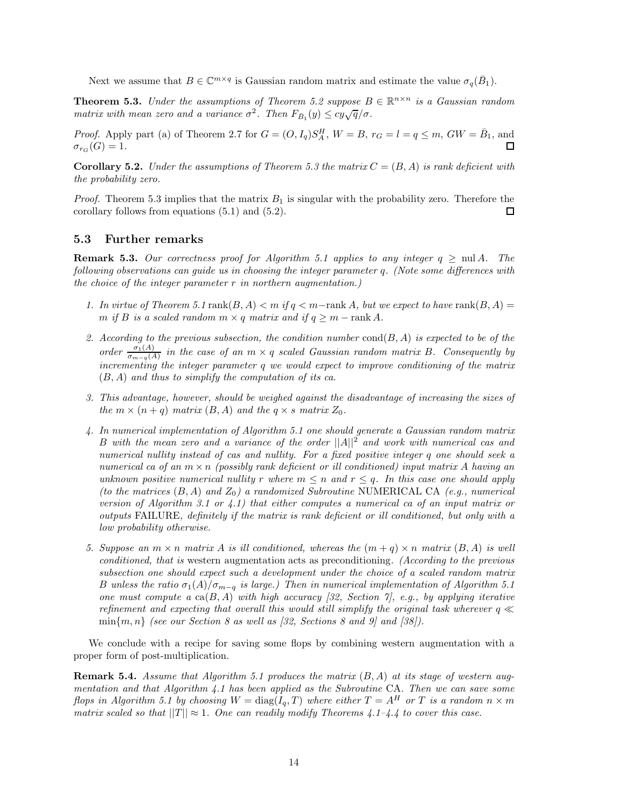Next we assume that  $B \in \mathbb{C}^{m \times q}$  is Gaussian random matrix and estimate the value  $\sigma_q(\bar{B}_1)$ .

**Theorem 5.3.** *Under the assumptions of Theorem 5.2 suppose*  $B \in \mathbb{R}^{n \times n}$  *is a Gaussian random matrix with mean zero and a variance*  $\sigma^2$ . Then  $F_{\bar{B}_1}(y) \leq cy\sqrt{q}/\sigma$ .

*Proof.* Apply part (a) of Theorem 2.7 for  $G = (O, I_q)S_A^H$ ,  $W = B$ ,  $r_G = l = q \le m$ ,  $GW = \overline{B_1}$ , and  $\sigma_{r_G}(G) = 1.$ 

**Corollary 5.2.** *Under the assumptions of Theorem 5.3 the matrix*  $C = (B, A)$  *is rank deficient with the probability zero.*

*Proof.* Theorem 5.3 implies that the matrix *B*<sup>1</sup> is singular with the probability zero. Therefore the corollary follows from equations (5.1) and (5.2). □

## **5.3 Further remarks**

**Remark 5.3.** *Our correctness proof for Algorithm 5.1 applies to any integer*  $q \geq \text{nul } A$ *. The following observations can guide us in choosing the integer parameter q. (Note some differences with the choice of the integer parameter r in northern augmentation.)*

- 1. In virtue of Theorem 5.1 rank $(B, A) < m$  if  $q < m$ -rank A, but we expect to have rank $(B, A)$ *m* if *B* is a scaled random  $m \times q$  *matrix and if*  $q \geq m - \text{rank } A$ *.*
- *2. According to the previous subsection, the condition number* cond(*B, A*) *is expected to be of the order*  $\frac{\sigma_1(A)}{\sigma_{m-q}(A)}$  *in the case of an*  $m \times q$  *scaled Gaussian random matrix B. Consequently by incrementing the integer parameter q we would expect to improve conditioning of the matrix* (*B, A*) *and thus to simplify the computation of its ca.*
- *3. This advantage, however, should be weighed against the disadvantage of increasing the sizes of the*  $m \times (n + q)$  *matrix*  $(B, A)$  *and the*  $q \times s$  *matrix*  $Z_0$ *.*
- *4. In numerical implementation of Algorithm 5.1 one should generate a Gaussian random matrix B with the mean zero and a variance of the order* ||*A*||<sup>2</sup> *and work with numerical cas and numerical nullity instead of cas and nullity. For a fixed positive integer q one should seek a numerical ca of an m* × *n (possibly rank deficient or ill conditioned) input matrix A having an unknown positive numerical nullity r where*  $m \leq n$  *and*  $r \leq q$ *. In this case one should apply (to the matrices* (*B, A*) *and Z*0*) a randomized Subroutine* NUMERICAL CA *(e.g., numerical version of Algorithm 3.1 or 4.1) that either computes a numerical ca of an input matrix or outputs* FAILURE*, definitely if the matrix is rank deficient or ill conditioned, but only with a low probability otherwise.*
- *5. Suppose an*  $m \times n$  *matrix A is ill conditioned, whereas the*  $(m+q) \times n$  *matrix*  $(B, A)$  *is well conditioned, that is* western augmentation acts as preconditioning*. (According to the previous subsection one should expect such a development under the choice of a scaled random matrix B unless the ratio σ*1(*A*)*/σ<sup>m</sup>*−*<sup>q</sup> is large.) Then in numerical implementation of Algorithm 5.1 one must compute a* ca(*B, A*) *with high accuracy [32, Section 7], e.g., by applying iterative refinement and expecting that overall this would still simplify the original task wherever*  $q \ll$  $\min\{m, n\}$  *(see our Section 8 as well as [32, Sections 8 and 9] and [38]).*

We conclude with a recipe for saving some flops by combining western augmentation with a proper form of post-multiplication.

**Remark 5.4.** *Assume that Algorithm 5.1 produces the matrix* (*B, A*) *at its stage of western augmentation and that Algorithm 4.1 has been applied as the Subroutine* CA*. Then we can save some flops in Algorithm 5.1 by choosing*  $W = \text{diag}(I_q, T)$  *where either*  $T = A^H$  *or*  $T$  *is a random*  $n \times m$ *matrix scaled so that*  $||T|| \approx 1$ *. One can readily modify Theorems 4.1–4.4 to cover this case.*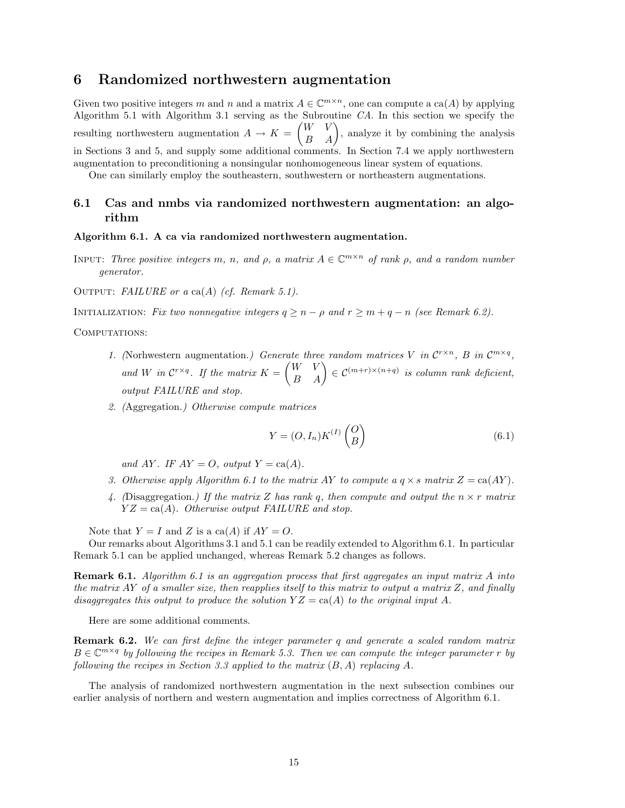## **6 Randomized northwestern augmentation**

Given two positive integers *m* and *n* and a matrix  $A \in \mathbb{C}^{m \times n}$ , one can compute a ca(*A*) by applying Algorithm 5.1 with Algorithm 3.1 serving as the Subroutine *CA*. In this section we specify the resulting northwestern augmentation  $A \to K = \begin{pmatrix} W & V \\ B & A \end{pmatrix}$ , analyze it by combining the analysis in Sections 3 and 5, and supply some additional comments. In Section 7.4 we apply northwestern augmentation to preconditioning a nonsingular nonhomogeneous linear system of equations.

One can similarly employ the southeastern, southwestern or northeastern augmentations.

## **6.1 Cas and nmbs via randomized northwestern augmentation: an algorithm**

#### **Algorithm 6.1. A ca via randomized northwestern augmentation.**

INPUT: *Three positive integers*  $m$ *,*  $n$ *, and*  $\rho$ *, a matrix*  $A \in \mathbb{C}^{m \times n}$  *of rank*  $\rho$ *, and a random number generator.*

Output: *FAILURE or a* ca(*A*) *(cf. Remark 5.1).*

INITIALIZATION: *Fix two nonnegative integers*  $q \geq n - \rho$  and  $r \geq m + q - n$  (see Remark 6.2).

COMPUTATIONS:

- *1.* (Norhwestern augmentation.) Generate three random matrices V in  $\mathcal{C}^{r \times n}$ , B in  $\mathcal{C}^{m \times q}$ , and *W* in  $\mathcal{C}^{r \times q}$ *. If the matrix*  $K = \begin{pmatrix} W & V \\ B & A \end{pmatrix} \in \mathcal{C}^{(m+r) \times (n+q)}$  is column rank deficient, *output FAILURE and stop.*
- *2. (*Aggregation.*) Otherwise compute matrices*

$$
Y = (O, I_n)K^{(I)}\begin{pmatrix} O \\ B \end{pmatrix}
$$
\n(6.1)

*and*  $AY$ *. IF*  $AY = O$ *, output*  $Y = ca(A)$ *.* 

- *3. Otherwise apply Algorithm 6.1 to the matrix AY to compute a*  $q \times s$  matrix  $Z = \text{ca}(AY)$ .
- 4. (Disaggregation.) If the matrix *Z* has rank *q*, then compute and output the  $n \times r$  matrix  $YZ = \text{ca}(A)$ *. Otherwise output FAILURE and stop.*

Note that  $Y = I$  and  $Z$  is a ca( $A$ ) if  $AY = O$ .

Our remarks about Algorithms 3.1 and 5.1 can be readily extended to Algorithm 6.1. In particular Remark 5.1 can be applied unchanged, whereas Remark 5.2 changes as follows.

**Remark 6.1.** *Algorithm 6.1 is an aggregation process that first aggregates an input matrix A into the matrix AY of a smaller size, then reapplies itself to this matrix to output a matrix Z, and finally disaggregates this output to produce the solution*  $YZ = ca(A)$  *to the original input* A.

Here are some additional comments.

**Remark 6.2.** *We can first define the integer parameter q and generate a scaled random matrix*  $B \in \mathbb{C}^{m \times q}$  *by following the recipes in Remark 5.3. Then we can compute the integer parameter r by following the recipes in Section 3.3 applied to the matrix* (*B, A*) *replacing A.*

The analysis of randomized northwestern augmentation in the next subsection combines our earlier analysis of northern and western augmentation and implies correctness of Algorithm 6.1.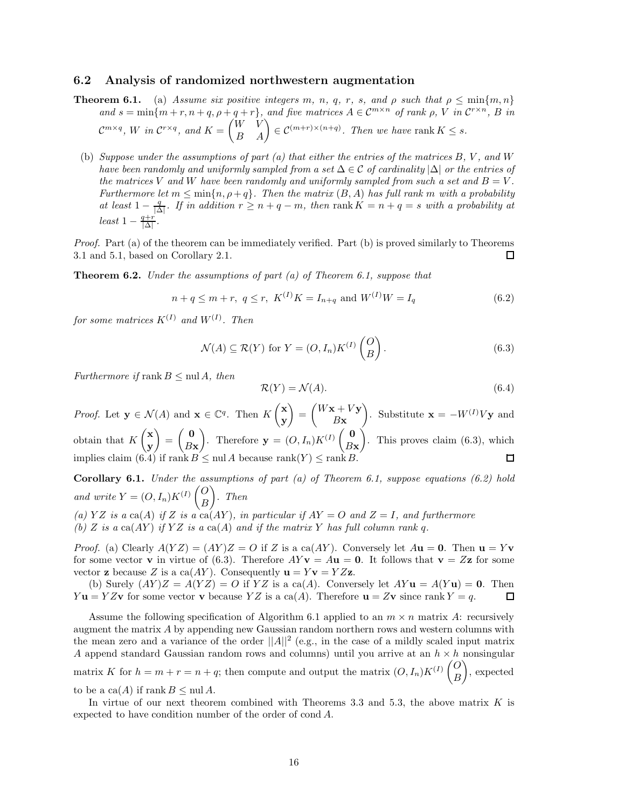#### **6.2 Analysis of randomized northwestern augmentation**

- **Theorem 6.1.** (a) *Assume six positive integers m*, *n*, *q*, *r*, *s*, and  $\rho$  *such that*  $\rho \le \min\{m, n\}$ and  $s = \min\{m + r, n + q, \rho + q + r\}$ , and five matrices  $A \in \mathcal{C}^{m \times n}$  of rank  $\rho$ , V in  $\mathcal{C}^{r \times n}$ , B in  $\mathcal{C}^{m \times q}$ , *W in*  $\mathcal{C}^{r \times q}$ , *and*  $K = \begin{pmatrix} W & V \\ B & A \end{pmatrix} \in \mathcal{C}^{(m+r) \times (n+q)}$ . Then we have rank  $K \leq s$ .
	- (b) *Suppose under the assumptions of part (a) that either the entries of the matrices B, V , and W have been randomly and uniformly sampled from a set* ∆ ∈ C *of cardinality* |∆| *or the entries of the matrices V* and *W* have been randomly and uniformly sampled from such a set and  $B = V$ . *Furthermore let*  $m \leq \min\{n, \rho + q\}$ . Then the matrix  $(B, A)$  has full rank  $m$  with a probability *at least*  $1 - \frac{q}{|\Delta|}$ *. If in addition*  $r \geq n + q - m$ *, then* rank  $K = n + q = s$  *with a probability at*  $least 1 - \frac{q+r}{|\Delta|}$ .

*Proof.* Part (a) of the theorem can be immediately verified. Part (b) is proved similarly to Theorems 3.1 and 5.1, based on Corollary 2.1. 口

**Theorem 6.2.** *Under the assumptions of part (a) of Theorem 6.1, suppose that*

$$
n + q \le m + r, \ q \le r, \ K^{(I)}K = I_{n+q} \text{ and } W^{(I)}W = I_q \tag{6.2}
$$

*for some matrices K*(*I*) *and W*(*I*) *. Then*

$$
\mathcal{N}(A) \subseteq \mathcal{R}(Y) \text{ for } Y = (O, I_n)K^{(I)}\begin{pmatrix} O \\ B \end{pmatrix}.
$$
 (6.3)

*Furthermore if* rank  $B \leq \text{null } A$ *, then* 

$$
\mathcal{R}(Y) = \mathcal{N}(A). \tag{6.4}
$$

*Proof.* Let  $\mathbf{y} \in \mathcal{N}(A)$  and  $\mathbf{x} \in \mathbb{C}^q$ . Then  $K \begin{pmatrix} \mathbf{x} \\ \mathbf{y} \end{pmatrix}$  $\mathbf{E} = \begin{pmatrix} W\mathbf{x} + V\mathbf{y} \\ P\mathbf{y} \end{pmatrix}$  $\bigg).$  Substitute  $\mathbf{x} = -W^{(I)}V\mathbf{y}$  and **y** *B***x** obtain that  $K\left(\begin{matrix} \mathbf{x} \\ \mathbf{y} \end{matrix}\right)$  $= \begin{pmatrix} 0 \\ P_2 \end{pmatrix}$ ). Therefore  $\mathbf{y} = (O, I_n)K^{(I)}\begin{pmatrix} \mathbf{0} \\ B_1 \end{pmatrix}$ ). This proves claim  $(6.3)$ , which **y** *B***x** *B***x** implies claim (6.4) if rank  $B \leq \text{null } A$  because rank  $\Box$ 

**Corollary 6.1.** *Under the assumptions of part (a) of Theorem 6.1, suppose equations (6.2) hold and write*  $Y = (O, I_n)K^{(I)}\begin{pmatrix}O\\P\end{pmatrix}$ *B* - *. Then*

(a)  $YZ$  is a ca( $A$ ) if  $Z$  is a ca( $AY$ )*, in particular if*  $AY = O$  and  $Z = I$ *, and furthermore (b)*  $Z$  *is a*  $ca(AY)$  *if*  $YZ$  *is a*  $ca(A)$  *and if the matrix*  $Y$  *has full column rank q.* 

*Proof.* (a) Clearly  $A(YZ) = (AY)Z = 0$  if *Z* is a ca(*AY*). Conversely let  $A**u** = **0**$ . Then  $$ for some vector **v** in virtue of (6.3). Therefore  $AYv = Au = 0$ . It follows that  $v = Zz$  for some vector **z** because *Z* is a ca(*AY*). Consequently  $\mathbf{u} = Y\mathbf{v} = YZ\mathbf{z}$ .

(b) Surely  $(AY)Z = A(YZ) = O$  if  $YZ$  is a ca(A). Conversely let  $AY\mathbf{u} = A(Y\mathbf{u}) = \mathbf{0}$ . Then *Y***u** = *YZ***v** for some vector **v** because *YZ* is a ca(*A*). Therefore **u** = *Z***v** since rank *Y* = *q*. 口

Assume the following specification of Algorithm 6.1 applied to an  $m \times n$  matrix A: recursively augment the matrix *A* by appending new Gaussian random northern rows and western columns with the mean zero and a variance of the order  $||A||^2$  (e.g., in the case of a mildly scaled input matrix *A* append standard Gaussian random rows and columns) until you arrive at an  $h \times h$  nonsingular matrix *K* for  $h = m + r = n + q$ ; then compute and output the matrix  $(O, I_n)K^{(I)}\begin{pmatrix}O & 0 \\ 0 & \rho\end{pmatrix}$ *B* -, expected

to be a  $ca(A)$  if rank  $B \leq \text{null } A$ .

In virtue of our next theorem combined with Theorems 3.3 and 5.3, the above matrix *K* is expected to have condition number of the order of cond *A*.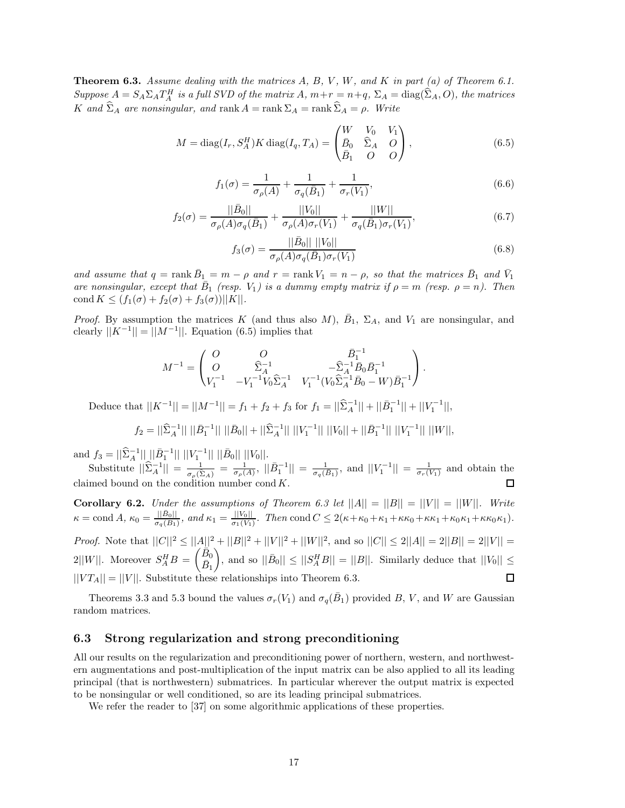**Theorem 6.3.** *Assume dealing with the matrices A, B, V , W, and K in part (a) of Theorem 6.1.* Suppose  $A = S_A \Sigma_A T_A^H$  is a full SVD of the matrix A,  $m+r = n+q$ ,  $\Sigma_A = \text{diag}(\widehat{\Sigma}_A, O)$ , the matrices *K and*  $\hat{\Sigma}_A$  *are nonsingular, and* rank  $A = \text{rank } \Sigma_A = \text{rank } \hat{\Sigma}_A = \rho$ *. Write* 

$$
M = \text{diag}(I_r, S_A^H) K \text{ diag}(I_q, T_A) = \begin{pmatrix} W & V_0 & V_1 \\ \bar{B}_0 & \hat{\Sigma}_A & O \\ \bar{B}_1 & O & O \end{pmatrix},
$$
(6.5)

$$
f_1(\sigma) = \frac{1}{\sigma_\rho(A)} + \frac{1}{\sigma_q(\bar{B}_1)} + \frac{1}{\sigma_r(V_1)},
$$
\n(6.6)

$$
f_2(\sigma) = \frac{||\bar{B}_0||}{\sigma_\rho(A)\sigma_q(\bar{B}_1)} + \frac{||V_0||}{\sigma_\rho(A)\sigma_r(V_1)} + \frac{||W||}{\sigma_q(\bar{B}_1)\sigma_r(V_1)},
$$
(6.7)

$$
f_3(\sigma) = \frac{||\bar{B}_0|| \, ||V_0||}{\sigma_\rho(A)\sigma_q(\bar{B}_1)\sigma_r(V_1)}
$$
(6.8)

*and* assume that  $q = \text{rank } \overline{B}_1 = m - \rho$  and  $r = \text{rank } V_1 = n - \rho$ , so that the matrices  $\overline{B}_1$  and  $\overline{V}_1$  $\alpha$ <sup>n</sup> *are nonsingular, except that*  $\overline{B_1}$  (resp.  $V_1$ ) is a dummy empty matrix if  $\rho = m$  (resp.  $\rho = n$ ). Then  $\text{cond } K \leq (f_1(\sigma) + f_2(\sigma) + f_3(\sigma))||K||.$ 

*Proof.* By assumption the matrices *K* (and thus also *M*),  $\bar{B}_1$ ,  $\Sigma_A$ , and  $V_1$  are nonsingular, and clearly  $||K^{-1}|| = ||M^{-1}||$ . Equation (6.5) implies that

$$
M^{-1} = \begin{pmatrix} O & O & \bar{B}_1^{-1} \\ O & \widehat{\Sigma}_A^{-1} & -\widehat{\Sigma}_A^{-1} \bar{B}_0 \bar{B}_1^{-1} \\ V_1^{-1} & -V_1^{-1} V_0 \widehat{\Sigma}_A^{-1} & V_1^{-1} (V_0 \widehat{\Sigma}_A^{-1} \bar{B}_0 - W) \bar{B}_1^{-1} \end{pmatrix}.
$$

Deduce that  $||K^{-1}|| = ||M^{-1}|| = f_1 + f_2 + f_3$  for  $f_1 = ||\hat{\Sigma}_A^{-1}|| + ||\bar{B}_1^{-1}|| + ||V_1^{-1}||$ ,

$$
f_2 = ||\widehat{\Sigma}_A^{-1}|| ||\bar{B}_1^{-1}|| ||\bar{B}_0|| + ||\widehat{\Sigma}_A^{-1}|| ||V_1^{-1}|| ||V_0|| + ||\bar{B}_1^{-1}|| ||V_1^{-1}|| ||W||,
$$

 $\text{and } f_3 = ||\hat{\Sigma}_A^{-1}|| ||\hat{B}_1^{-1}|| ||V_1^{-1}|| ||\hat{B}_0|| ||V_0||.$ 

Substitute  $||\hat{\Sigma}_A^{-1}|| = \frac{1}{\sigma_\rho(\hat{\Sigma}_A)} = \frac{1}{\sigma_\rho(A)}, ||\bar{B}_A^{-1}|| = \frac{1}{\sigma_q(B_1)},$  and  $||V_1^{-1}|| = \frac{1}{\sigma_r(V_1)}$  and obtain the claimed bound on the condition number cond *K*. П

**Corollary 6.2.** *Under the assumptions of Theorem 6.3 let*  $||A|| = ||B|| = ||V|| = ||W||$ *. Write*  $\kappa = \text{cond } A, \ \kappa_0 = \frac{||\bar{B}_0||}{\sigma_q(\bar{B}_1)}, \ and \ \kappa_1 = \frac{||V_0||}{\sigma_1(\bar{V}_1)}.$  Then  $\text{cond } C \leq 2(\kappa + \kappa_0 + \kappa_1 + \kappa \kappa_0 + \kappa \kappa_1 + \kappa_0 \kappa_1 + \kappa \kappa_0 \kappa_1).$ *Proof.* Note that  $||C||^2 \le ||A||^2 + ||B||^2 + ||V||^2 + ||W||^2$ , and so  $||C|| \le 2||A|| = 2||B|| = 2||V||$  $2||W||$ . Moreover  $S_A^H B = \begin{pmatrix} \overline{B}_0 \\ \overline{B}_1 \end{pmatrix}$  $\left| \int$ , and so  $\left| \right| \overline{B}_0 \right| \left| \leq \left| \left| S_A^H B \right| \right| = \left| |B| \right|$ . Similarly deduce that  $\left| |V_0| \right| \leq$  $\bar{B}_1$  $||VT_A|| = ||V||$ . Substitute these relationships into Theorem 6.3.  $\Box$ 

Theorems 3.3 and 5.3 bound the values  $\sigma_r(V_1)$  and  $\sigma_q(B_1)$  provided B, V, and W are Gaussian random matrices.

## **6.3 Strong regularization and strong preconditioning**

All our results on the regularization and preconditioning power of northern, western, and northwestern augmentations and post-multiplication of the input matrix can be also applied to all its leading principal (that is northwestern) submatrices. In particular wherever the output matrix is expected to be nonsingular or well conditioned, so are its leading principal submatrices.

We refer the reader to [37] on some algorithmic applications of these properties.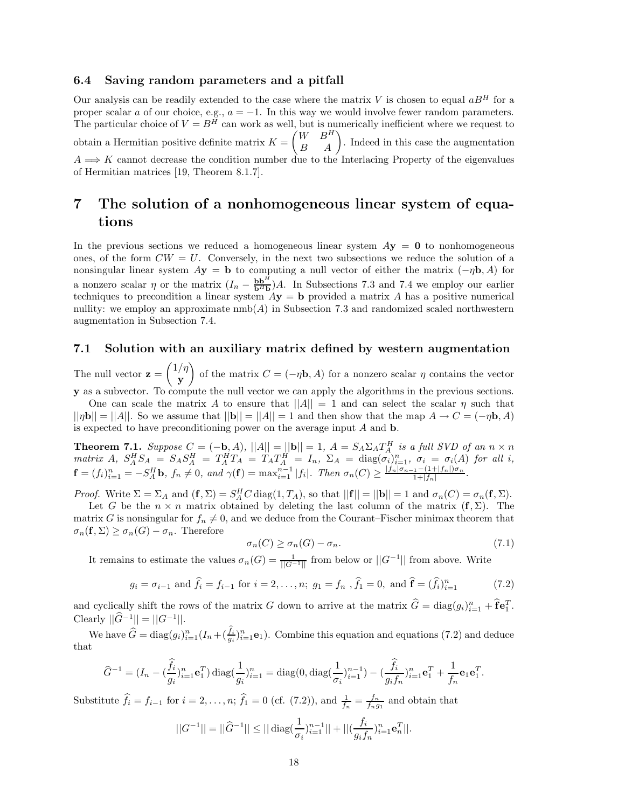## **6.4 Saving random parameters and a pitfall**

Our analysis can be readily extended to the case where the matrix  $V$  is chosen to equal  $aB<sup>H</sup>$  for a proper scalar *a* of our choice, e.g.,  $a = -1$ . In this way we would involve fewer random parameters. The particular choice of  $V = B<sup>H</sup>$  can work as well, but is numerically inefficient where we request to obtain a Hermitian positive definite matrix  $K = \begin{pmatrix} W & B^H \\ B & A \end{pmatrix}$ . Indeed in this case the augmentation  $A \Longrightarrow K$  cannot decrease the condition number due to the Interlacing Property of the eigenvalues of Hermitian matrices [19, Theorem 8.1.7].

## **7 The solution of a nonhomogeneous linear system of equations**

In the previous sections we reduced a homogeneous linear system  $Ay = 0$  to nonhomogeneous ones, of the form  $CW = U$ . Conversely, in the next two subsections we reduce the solution of a nonsingular linear system  $A$ **y** = **b** to computing a null vector of either the matrix  $(-\eta \mathbf{b}, A)$  for a nonzero scalar *η* or the matrix  $(I_n - \frac{b b^H}{b^H b})A$ . In Subsections 7.3 and 7.4 we employ our earlier techniques to precondition a linear system  $A$ **y** = **b** provided a matrix *A* has a positive numerical nullity: we employ an approximate  $\text{nmb}(A)$  in Subsection 7.3 and randomized scaled northwestern augmentation in Subsection 7.4.

## **7.1 Solution with an auxiliary matrix defined by western augmentation**

The null vector  $\mathbf{z} = \begin{pmatrix} 1/\eta \\ I \end{pmatrix}$ **y** of the matrix  $C = (-\eta \mathbf{b}, A)$  for a nonzero scalar  $\eta$  contains the vector **y** as a subvector. To compute the null vector we can apply the algorithms in the previous sections.

One can scale the matrix *A* to ensure that  $||A|| = 1$  and can select the scalar *η* such that  $||\eta \mathbf{b}|| = ||A||$ . So we assume that  $||\mathbf{b}|| = ||A|| = 1$  and then show that the map  $A \to C = (-\eta \mathbf{b}, A)$ is expected to have preconditioning power on the average input *A* and **b**.

**Theorem 7.1.** Suppose  $C = (-b, A)$ ,  $||A|| = ||b|| = 1$ ,  $A = S_A \Sigma_A T_A^H$  is a full SVD of an  $n \times n$ matrix A,  $S_A^H S_A = S_A S_A^H = T_A^H T_A = T_A T_A^H = I_n$ ,  $\Sigma_A = \text{diag}(\sigma_i)_{i=1}^n$ ,  $\sigma_i = \sigma_i(A)$  for all i,  $\mathbf{f} = (f_i)_{i=1}^n = -S_A^H \mathbf{b}, f_n \neq 0, \text{ and } \gamma(\mathbf{f}) = \max_{i=1}^{n-1} |f_i|.$  Then  $\sigma_n(C) \geq \frac{|f_n|\sigma_{n-1} - (1+|f_n|)\sigma_n}{1+|f_n|}.$ 

*Proof.* Write  $\Sigma = \Sigma_A$  and  $(\mathbf{f}, \Sigma) = S_A^H C \text{diag}(1, T_A)$ , so that  $||\mathbf{f}|| = ||\mathbf{b}|| = 1$  and  $\sigma_n(C) = \sigma_n(\mathbf{f}, \Sigma)$ .

Let *G* be the  $n \times n$  matrix obtained by deleting the last column of the matrix  $(f, \Sigma)$ . The matrix *G* is nonsingular for  $f_n \neq 0$ , and we deduce from the Courant–Fischer minimax theorem that  $\sigma_n(\mathbf{f}, \Sigma) \geq \sigma_n(G) - \sigma_n$ . Therefore

$$
\sigma_n(C) \ge \sigma_n(G) - \sigma_n. \tag{7.1}
$$

It remains to estimate the values  $\sigma_n(G) = \frac{1}{||G^{-1}||}$  from below or  $||G^{-1}||$  from above. Write

$$
g_i = \sigma_{i-1}
$$
 and  $\hat{f}_i = f_{i-1}$  for  $i = 2, ..., n$ ;  $g_1 = f_n$ ,  $\hat{f}_1 = 0$ , and  $\hat{f} = (\hat{f}_i)_{i=1}^n$  (7.2)

and cyclically shift the rows of the matrix *G* down to arrive at the matrix  $\hat{G} = \text{diag}(g_i)_{i=1}^n + \hat{\mathbf{f}} \mathbf{e}_1^T$ .  $C$ learly  $||\hat{G}^{-1}|| = ||G^{-1}||$ .

We have  $\widehat{G} = \text{diag}(g_i)_{i=1}^n (I_n + (\frac{f_i}{g_i})_{i=1}^n \mathbf{e}_1)$ . Combine this equation and equations (7.2) and deduce that

$$
\widehat{G}^{-1} = (I_n - (\frac{\widehat{f}_i}{g_i})_{i=1}^n \mathbf{e}_1^T) \operatorname{diag}(\frac{1}{g_i})_{i=1}^n = \operatorname{diag}(0, \operatorname{diag}(\frac{1}{\sigma_i})_{i=1}^{n-1}) - (\frac{\widehat{f}_i}{g_i f_n})_{i=1}^n \mathbf{e}_1^T + \frac{1}{f_n} \mathbf{e}_1 \mathbf{e}_1^T.
$$

Substitute  $\hat{f}_i = f_{i-1}$  for  $i = 2, ..., n$ ;  $\hat{f}_1 = 0$  (cf. (7.2)), and  $\frac{1}{f_n} = \frac{f_n}{f_n g_1}$  and obtain that

$$
||G^{-1}|| = ||\widehat{G}^{-1}|| \le ||\operatorname{diag}(\frac{1}{\sigma_i})_{i=1}^{n-1}|| + ||(\frac{f_i}{g_i f_n})_{i=1}^n \mathbf{e}_n^T||.
$$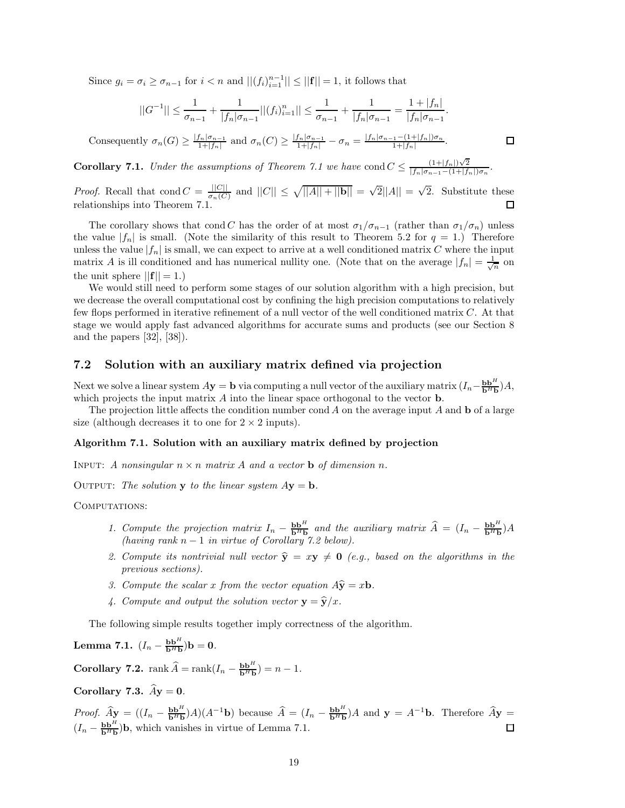Since  $g_i = \sigma_i \ge \sigma_{n-1}$  for  $i < n$  and  $||(f_i)_{i=1}^{n-1}|| \le ||\mathbf{f}|| = 1$ , it follows that

$$
||G^{-1}|| \leq \frac{1}{\sigma_{n-1}} + \frac{1}{|f_n|\sigma_{n-1}}||(f_i)_{i=1}^n|| \leq \frac{1}{\sigma_{n-1}} + \frac{1}{|f_n|\sigma_{n-1}} = \frac{1+|f_n|}{|f_n|\sigma_{n-1}}.
$$

Consequently  $\sigma_n(G) \ge \frac{|f_n|\sigma_{n-1}}{1+|f_n|}$  and  $\sigma_n(C) \ge \frac{|f_n|\sigma_{n-1}}{1+|f_n|} - \sigma_n = \frac{|f_n|\sigma_{n-1} - (1+|f_n|)\sigma_n}{1+|f_n|}$ .

**Corollary 7.1.** *Under the assumptions of Theorem 7.1 we have* cond  $C \leq \frac{(1+|f_n|)\sqrt{2}}{|f_n|\sigma_{n-1}-(1+|f_n|)\sigma_n}$ .

*Proof.* Recall that cond  $C = \frac{||C||}{\sigma_n(C)}$  and  $||C|| \le \sqrt{||A|| + ||\mathbf{b}||} = \sqrt{2}||A|| = \sqrt{2}$ . Substitute these relationships into Theorem 7. 口

The corollary shows that cond *C* has the order of at most  $\sigma_1/\sigma_{n-1}$  (rather than  $\sigma_1/\sigma_n$ ) unless the value  $|f_n|$  is small. (Note the similarity of this result to Theorem 5.2 for  $q = 1$ .) Therefore unless the value  $|f_n|$  is small, we can expect to arrive at a well conditioned matrix  $C$  where the input matrix *A* is ill conditioned and has numerical nullity one. (Note that on the average  $|f_n| = \frac{1}{\sqrt{n}}$  on the unit sphere  $||{\bf f}|| = 1.$ )

We would still need to perform some stages of our solution algorithm with a high precision, but we decrease the overall computational cost by confining the high precision computations to relatively few flops performed in iterative refinement of a null vector of the well conditioned matrix *C*. At that stage we would apply fast advanced algorithms for accurate sums and products (see our Section 8 and the papers [32], [38]).

## **7.2 Solution with an auxiliary matrix defined via projection**

Next we solve a linear system  $A$ **y** = **b** via computing a null vector of the auxiliary matrix  $(I_n - \frac{bb^H}{b^Hb})A$ , which projects the input matrix *A* into the linear space orthogonal to the vector **b**.

The projection little affects the condition number cond *A* on the average input *A* and **b** of a large size (although decreases it to one for  $2 \times 2$  inputs).

#### **Algorithm 7.1. Solution with an auxiliary matrix defined by projection**

INPUT: *A nonsingular*  $n \times n$  *matrix A and a vector* **b** *of dimension n*.

OUTPUT: The solution **y** to the linear system  $Ay = b$ .

COMPUTATIONS:

- *1.* Compute the projection matrix  $I_n \frac{b b^H}{b^H b}$  and the auxiliary matrix  $\hat{A} = (I_n \frac{b b^H}{b^H b})A$ *(having rank n* − 1 *in virtue of Corollary 7.2 below).*
- 2. Compute its nontrivial null vector  $\hat{\mathbf{y}} = x\mathbf{y} \neq \mathbf{0}$  (e.g., based on the algorithms in the *previous sections).*
- *3. Compute the scalar x from the vector equation*  $A\hat{y} = x\mathbf{b}$ *.*
- 4. Compute and output the solution vector  $\mathbf{y} = \hat{\mathbf{y}}/x$ .

The following simple results together imply correctness of the algorithm.

**Lemma 7.1.**  $(I_n - \frac{{{\bf b}{{\bf b}}^H}}{{{\bf b}}^H{{\bf b}}}){\bf b} = {\bf 0}.$ 

**Corollary 7.2.**  $rank \widehat{A} = rank(I_n - \frac{bb^H}{b^Hb}) = n - 1.$ 

**Corollary 7.3.**  $\widehat{A}$ **y** = **0***.* 

*Proof.*  $\hat{A}\mathbf{y} = ((I_n - \frac{\mathbf{b} \mathbf{b}^H}{\mathbf{b}^H \mathbf{b}})A)(A^{-1}\mathbf{b})$  because  $\hat{A} = (I_n - \frac{\mathbf{b} \mathbf{b}^H}{\mathbf{b}^H \mathbf{b}})A$  and  $\mathbf{y} = A^{-1}\mathbf{b}$ . Therefore  $\hat{A}\mathbf{y} =$  $(I_n - \frac{\mathbf{b} \mathbf{b}^H}{\mathbf{b}^H \mathbf{b}})$ **b**, which vanishes in virtue of Lemma 7.1.

 $\Box$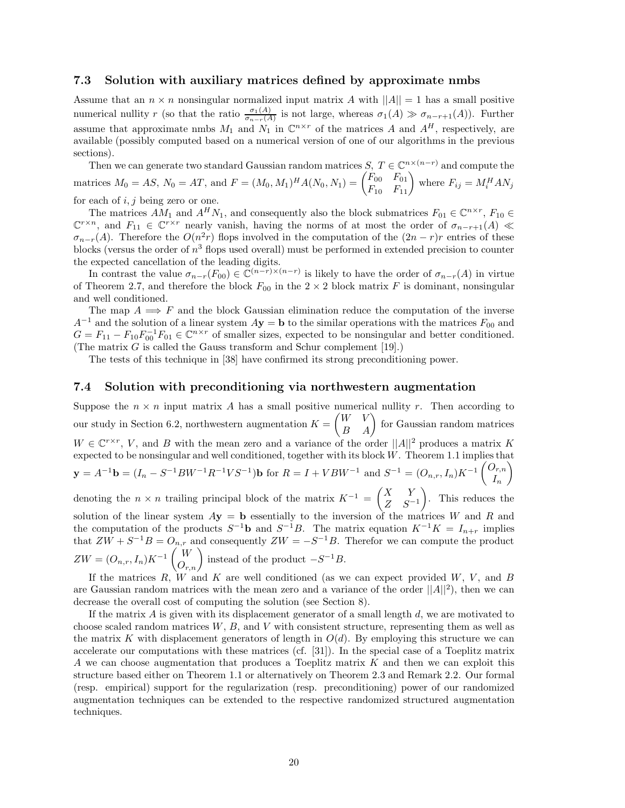## **7.3 Solution with auxiliary matrices defined by approximate nmbs**

Assume that an  $n \times n$  nonsingular normalized input matrix *A* with  $||A|| = 1$  has a small positive numerical nullity *r* (so that the ratio  $\frac{\sigma_1(A)}{\sigma_{n-r}(A)}$  is not large, whereas  $\sigma_1(A) \gg \sigma_{n-r+1}(A)$ ). Further assume that approximate nmbs  $M_1$  and  $N_1$  in  $\mathbb{C}^{n \times r}$  of the matrices  $A$  and  $A^H$ , respectively, are available (possibly computed based on a numerical version of one of our algorithms in the previous sections).

Then we can generate two standard Gaussian random matrices *S*,  $T \in \mathbb{C}^{n \times (n-r)}$  and compute the matrices  $M_0 = AS$ ,  $N_0 = AT$ , and  $F = (M_0, M_1)^H A(N_0, N_1) = \begin{pmatrix} F_{00} & F_{01} \ F_{10} & F_{11} \end{pmatrix}$  where  $F_{ij} = M_i^H AN_j$ for each of *i, j* being zero or one.

The matrices  $AM_1$  and  $A^H N_1$ , and consequently also the block submatrices  $F_{01} \in \mathbb{C}^{n \times r}$ ,  $F_{10} \in$  $\mathbb{C}^{r \times n}$ , and  $F_{11} \in \mathbb{C}^{r \times r}$  nearly vanish, having the norms of at most the order of  $\sigma_{n-r+1}(A) \ll$  $\sigma_{n-r}(A)$ . Therefore the  $O(n^2r)$  flops involved in the computation of the  $(2n - r)r$  entries of these blocks (versus the order of *n*<sup>3</sup> flops used overall) must be performed in extended precision to counter the expected cancellation of the leading digits.

In contrast the value  $\sigma_{n-r}(F_{00}) \in \mathbb{C}^{(n-r)\times(n-r)}$  is likely to have the order of  $\sigma_{n-r}(A)$  in virtue of Theorem 2.7, and therefore the block  $F_{00}$  in the  $2 \times 2$  block matrix *F* is dominant, nonsingular and well conditioned.

The map  $A \implies F$  and the block Gaussian elimination reduce the computation of the inverse  $A^{-1}$  and the solution of a linear system  $A$ **y** = **b** to the similar operations with the matrices  $F_{00}$  and  $G = F_{11} - F_{10} F_{00}^{-1} F_{01} \in \mathbb{C}^{n \times r}$  of smaller sizes, expected to be nonsingular and better conditioned. (The matrix *G* is called the Gauss transform and Schur complement [19].)

The tests of this technique in [38] have confirmed its strong preconditioning power.

## **7.4 Solution with preconditioning via northwestern augmentation**

Suppose the  $n \times n$  input matrix *A* has a small positive numerical nullity *r*. Then according to our study in Section 6.2, northwestern augmentation  $K = \begin{pmatrix} W & V \\ B & A \end{pmatrix}$  for Gaussian random matrices  $W \in \mathbb{C}^{r \times r}$ , *V*, and *B* with the mean zero and a variance of the order  $||A||^2$  produces a matrix *K* expected to be nonsingular and well conditioned, together with its block *W*. Theorem 1.1 implies that  $\mathbf{y} = A^{-1}\mathbf{b} = (I_n - S^{-1}BW^{-1}R^{-1}VS^{-1})\mathbf{b}$  for  $R = I + VBW^{-1}$  and  $S^{-1} = (O_{n,r}, I_n)K^{-1}\begin{pmatrix} O_{r,n} \\ I \end{pmatrix}$ *In*  $\setminus$ denoting the *n* × *n* trailing principal block of the matrix  $K^{-1} = \begin{pmatrix} X & Y \\ Z & Z^{-1} \end{pmatrix}$ *Z S*−<sup>1</sup> - . This reduces the solution of the linear system  $A$ **y** = **b** essentially to the inversion of the matrices *W* and *R* and the computation of the products  $S^{-1}$ **b** and  $S^{-1}B$ . The matrix equation  $K^{-1}K = I_{n+r}$  implies that  $ZW + S^{-1}B = O_{n,r}$  and consequently  $ZW = -S^{-1}B$ . Therefor we can compute the product  $ZW = (O_{n,r}, I_n)K^{-1}\begin{pmatrix} W \\ O_{r,n} \end{pmatrix}$  instead of the product  $-S^{-1}B$ .

If the matrices  $R$ ,  $\overline{W}$  and  $K$  are well conditioned (as we can expect provided  $W$ ,  $V$ , and  $B$ are Gaussian random matrices with the mean zero and a variance of the order  $||A||^2$ , then we can decrease the overall cost of computing the solution (see Section 8).

If the matrix *A* is given with its displacement generator of a small length *d*, we are motivated to choose scaled random matrices *W*, *B*, and *V* with consistent structure, representing them as well as the matrix *K* with displacement generators of length in  $O(d)$ . By employing this structure we can accelerate our computations with these matrices (cf. [31]). In the special case of a Toeplitz matrix *A* we can choose augmentation that produces a Toeplitz matrix *K* and then we can exploit this structure based either on Theorem 1.1 or alternatively on Theorem 2.3 and Remark 2.2. Our formal (resp. empirical) support for the regularization (resp. preconditioning) power of our randomized augmentation techniques can be extended to the respective randomized structured augmentation techniques.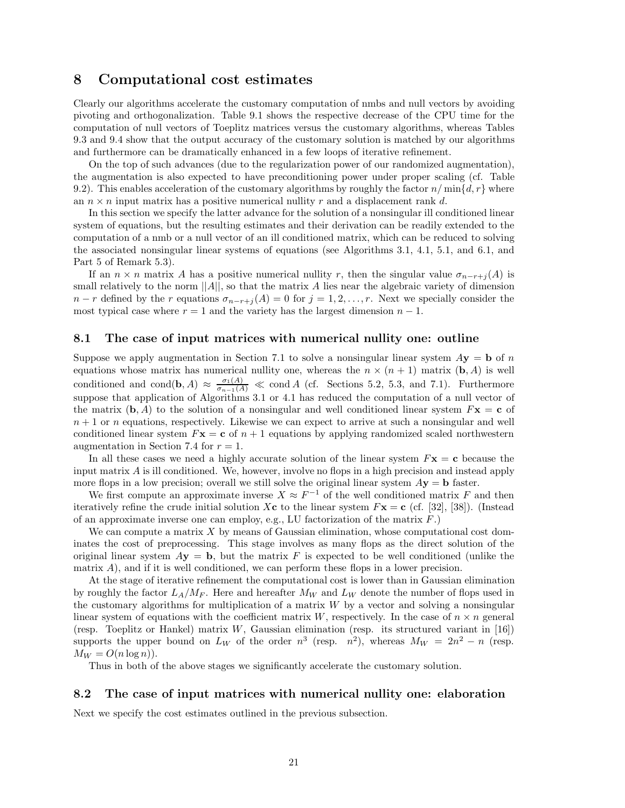## **8 Computational cost estimates**

Clearly our algorithms accelerate the customary computation of nmbs and null vectors by avoiding pivoting and orthogonalization. Table 9.1 shows the respective decrease of the CPU time for the computation of null vectors of Toeplitz matrices versus the customary algorithms, whereas Tables 9.3 and 9.4 show that the output accuracy of the customary solution is matched by our algorithms and furthermore can be dramatically enhanced in a few loops of iterative refinement.

On the top of such advances (due to the regularization power of our randomized augmentation), the augmentation is also expected to have preconditioning power under proper scaling (cf. Table 9.2). This enables acceleration of the customary algorithms by roughly the factor  $n/\min\{d, r\}$  where an  $n \times n$  input matrix has a positive numerical nullity  $r$  and a displacement rank  $d$ .

In this section we specify the latter advance for the solution of a nonsingular ill conditioned linear system of equations, but the resulting estimates and their derivation can be readily extended to the computation of a nmb or a null vector of an ill conditioned matrix, which can be reduced to solving the associated nonsingular linear systems of equations (see Algorithms 3.1, 4.1, 5.1, and 6.1, and Part 5 of Remark 5.3).

If an  $n \times n$  matrix *A* has a positive numerical nullity *r*, then the singular value  $\sigma_{n-r+j}(A)$  is small relatively to the norm  $||A||$ , so that the matrix *A* lies near the algebraic variety of dimension  $n - r$  defined by the *r* equations  $\sigma_{n-r+j}(A) = 0$  for  $j = 1, 2, \ldots, r$ . Next we specially consider the most typical case where  $r = 1$  and the variety has the largest dimension  $n - 1$ .

## **8.1 The case of input matrices with numerical nullity one: outline**

Suppose we apply augmentation in Section 7.1 to solve a nonsingular linear system  $A$ **y** = **b** of *n* equations whose matrix has numerical nullity one, whereas the  $n \times (n + 1)$  matrix  $(b, A)$  is well conditioned and cond(**b***, A*)  $\approx \frac{\sigma_1(A)}{\sigma_{n-1}(A)} \ll \text{cond } A$  (cf. Sections 5.2, 5.3, and 7.1). Furthermore suppose that application of Algorithms 3.1 or 4.1 has reduced the computation of a null vector of the matrix  $(\mathbf{b}, A)$  to the solution of a nonsingular and well conditioned linear system  $F\mathbf{x} = \mathbf{c}$  of  $n+1$  or *n* equations, respectively. Likewise we can expect to arrive at such a nonsingular and well conditioned linear system  $F$ **x** = **c** of  $n + 1$  equations by applying randomized scaled northwestern augmentation in Section 7.4 for  $r = 1$ .

In all these cases we need a highly accurate solution of the linear system  $F\mathbf{x} = \mathbf{c}$  because the input matrix *A* is ill conditioned. We, however, involve no flops in a high precision and instead apply more flops in a low precision; overall we still solve the original linear system  $Ay = b$  faster.

We first compute an approximate inverse  $X \approx F^{-1}$  of the well conditioned matrix F and then iteratively refine the crude initial solution X**c** to the linear system  $F$ **x** = **c** (cf. [32], [38]). (Instead of an approximate inverse one can employ, e.g., LU factorization of the matrix *F*.)

We can compute a matrix *X* by means of Gaussian elimination, whose computational cost dominates the cost of preprocessing. This stage involves as many flops as the direct solution of the original linear system  $A$ **y** = **b**, but the matrix *F* is expected to be well conditioned (unlike the matrix *A*), and if it is well conditioned, we can perform these flops in a lower precision.

At the stage of iterative refinement the computational cost is lower than in Gaussian elimination by roughly the factor  $L_A/M_F$ . Here and hereafter  $M_W$  and  $L_W$  denote the number of flops used in the customary algorithms for multiplication of a matrix *W* by a vector and solving a nonsingular linear system of equations with the coefficient matrix  $W$ , respectively. In the case of  $n \times n$  general (resp. Toeplitz or Hankel) matrix *W*, Gaussian elimination (resp. its structured variant in [16]) supports the upper bound on  $L_W$  of the order  $n^3$  (resp.  $n^2$ ), whereas  $M_W = 2n^2 - n$  (resp.  $M_W = O(n \log n)$ .

Thus in both of the above stages we significantly accelerate the customary solution.

#### **8.2 The case of input matrices with numerical nullity one: elaboration**

Next we specify the cost estimates outlined in the previous subsection.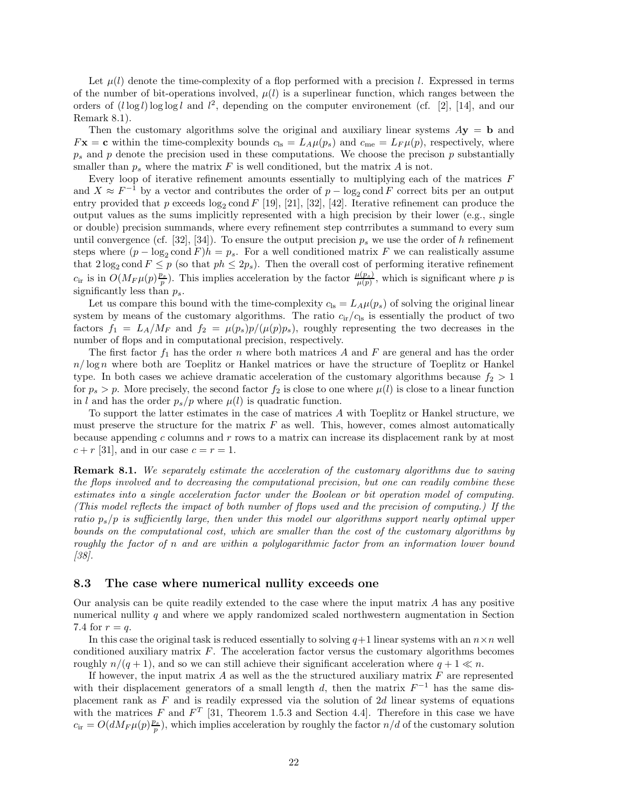Let  $\mu(l)$  denote the time-complexity of a flop performed with a precision *l*. Expressed in terms of the number of bit-operations involved,  $\mu(l)$  is a superlinear function, which ranges between the orders of  $(l \log l) \log \log l$  and  $l^2$ , depending on the computer environement (cf. [2], [14], and our Remark 8.1).

Then the customary algorithms solve the original and auxiliary linear systems  $A$ **y** = **b** and  $F$ **x** = **c** within the time-complexity bounds  $c_{ls} = L_A \mu(p_s)$  and  $c_{me} = L_F \mu(p)$ , respectively, where  $p<sub>s</sub>$  and  $p$  denote the precision used in these computations. We choose the precison  $p$  substantially smaller than  $p_s$  where the matrix  $F$  is well conditioned, but the matrix  $A$  is not.

Every loop of iterative refinement amounts essentially to multiplying each of the matrices *F* and  $X \approx F^{-1}$  by a vector and contributes the order of  $p - \log_2 \text{cond } F$  correct bits per an output entry provided that p exceeds  $\log_2$  cond F [19], [21], [32], [42]. Iterative refinement can produce the output values as the sums implicitly represented with a high precision by their lower (e.g., single or double) precision summands, where every refinement step contrributes a summand to every sum until convergence (cf. [32], [34]). To ensure the output precision  $p_s$  we use the order of h refinement steps where  $(p - \log_2 \text{cond } F)h = p_s$ . For a well conditioned matrix *F* we can realistically assume that  $2 \log_2 \text{cond } F \leq p$  (so that  $ph \leq 2p_s$ ). Then the overall cost of performing iterative refinement  $c_{ir}$  is in  $O(M_F \mu(p) \frac{p_s}{p})$ . This implies acceleration by the factor  $\frac{\mu(p_s)}{\mu(p)}$ , which is significant where *p* is significantly less than *ps*.

Let us compare this bound with the time-complexity  $c_{\rm ls} = L_A \mu(p_s)$  of solving the original linear system by means of the customary algorithms. The ratio  $c_{ir}/c_{ls}$  is essentially the product of two factors  $f_1 = L_A/M_F$  and  $f_2 = \mu(p_s)p/(\mu(p)p_s)$ , roughly representing the two decreases in the number of flops and in computational precision, respectively.

The first factor  $f_1$  has the order *n* where both matrices *A* and *F* are general and has the order *n/* log *n* where both are Toeplitz or Hankel matrices or have the structure of Toeplitz or Hankel type. In both cases we achieve dramatic acceleration of the customary algorithms because  $f_2 > 1$ for  $p_s > p$ . More precisely, the second factor  $f_2$  is close to one where  $\mu(l)$  is close to a linear function in *l* and has the order  $p_s/p$  where  $\mu(l)$  is quadratic function.

To support the latter estimates in the case of matrices *A* with Toeplitz or Hankel structure, we must preserve the structure for the matrix  $F$  as well. This, however, comes almost automatically because appending *c* columns and *r* rows to a matrix can increase its displacement rank by at most  $c + r$  [31], and in our case  $c = r = 1$ .

**Remark 8.1.** *We separately estimate the acceleration of the customary algorithms due to saving the flops involved and to decreasing the computational precision, but one can readily combine these estimates into a single acceleration factor under the Boolean or bit operation model of computing. (This model reflects the impact of both number of flops used and the precision of computing.) If the ratio ps/p is sufficiently large, then under this model our algorithms support nearly optimal upper bounds on the computational cost, which are smaller than the cost of the customary algorithms by roughly the factor of n and are within a polylogarithmic factor from an information lower bound [38].*

#### **8.3 The case where numerical nullity exceeds one**

Our analysis can be quite readily extended to the case where the input matrix *A* has any positive numerical nullity *q* and where we apply randomized scaled northwestern augmentation in Section 7.4 for  $r = q$ .

In this case the original task is reduced essentially to solving  $q+1$  linear systems with an  $n \times n$  well conditioned auxiliary matrix *F*. The acceleration factor versus the customary algorithms becomes roughly  $n/(q+1)$ , and so we can still achieve their significant acceleration where  $q+1 \ll n$ .

If however, the input matrix *A* as well as the the structured auxiliary matrix *F* are represented with their displacement generators of a small length *d*, then the matrix  $F^{-1}$  has the same displacement rank as *F* and is readily expressed via the solution of 2*d* linear systems of equations with the matrices  $F$  and  $F^T$  [31, Theorem 1.5.3 and Section 4.4]. Therefore in this case we have  $c_{ir} = O(dM_F\mu(p)\frac{p_s}{p})$ , which implies acceleration by roughly the factor  $n/d$  of the customary solution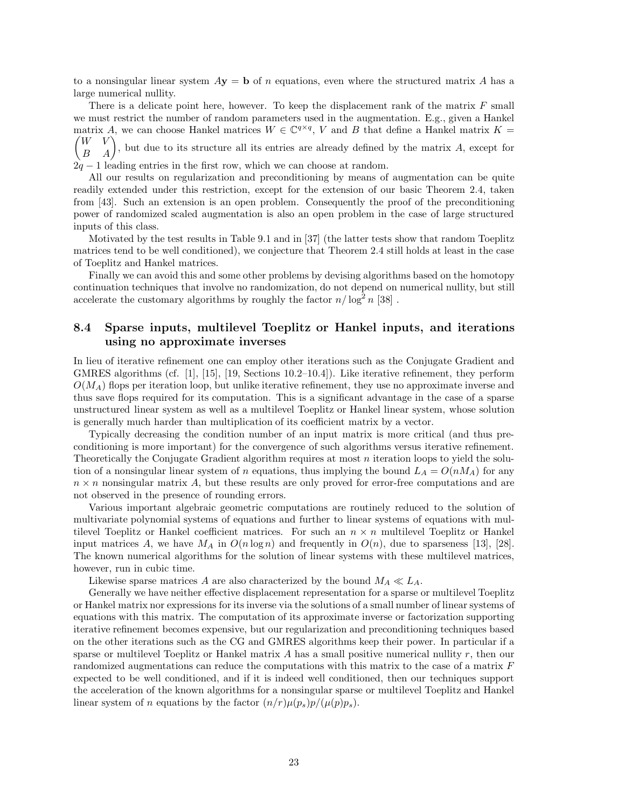to a nonsingular linear system  $A$ **y** = **b** of *n* equations, even where the structured matrix *A* has a large numerical nullity.

There is a delicate point here, however. To keep the displacement rank of the matrix *F* small we must restrict the number of random parameters used in the augmentation. E.g., given a Hankel matrix *A*, we can choose Hankel matrices  $W \in \mathbb{C}^{q \times q}$ , *V* and *B* that define a Hankel matrix  $K =$ matrix *A*, we can choose Hankel matrices  $W \in \mathbb{C}^{q \times q}$ , *V* and *B* that define a Hankel matrix  $K = \begin{pmatrix} W & V \\ B & A \end{pmatrix}$ , but due to its structure all its entries are already defined by the matrix *A*, except for 2*q* − 1 leading entries in the first row, which we can choose at random.

All our results on regularization and preconditioning by means of augmentation can be quite readily extended under this restriction, except for the extension of our basic Theorem 2.4, taken from [43]. Such an extension is an open problem. Consequently the proof of the preconditioning power of randomized scaled augmentation is also an open problem in the case of large structured

inputs of this class.

Motivated by the test results in Table 9.1 and in [37] (the latter tests show that random Toeplitz matrices tend to be well conditioned), we conjecture that Theorem 2.4 still holds at least in the case of Toeplitz and Hankel matrices.

Finally we can avoid this and some other problems by devising algorithms based on the homotopy continuation techniques that involve no randomization, do not depend on numerical nullity, but still accelerate the customary algorithms by roughly the factor  $n/\log^2 n$  [38].

## **8.4 Sparse inputs, multilevel Toeplitz or Hankel inputs, and iterations using no approximate inverses**

In lieu of iterative refinement one can employ other iterations such as the Conjugate Gradient and GMRES algorithms (cf. [1], [15], [19, Sections 10.2–10.4]). Like iterative refinement, they perform  $O(M_A)$  flops per iteration loop, but unlike iterative refinement, they use no approximate inverse and thus save flops required for its computation. This is a significant advantage in the case of a sparse unstructured linear system as well as a multilevel Toeplitz or Hankel linear system, whose solution is generally much harder than multiplication of its coefficient matrix by a vector.

Typically decreasing the condition number of an input matrix is more critical (and thus preconditioning is more important) for the convergence of such algorithms versus iterative refinement. Theoretically the Conjugate Gradient algorithm requires at most *n* iteration loops to yield the solution of a nonsingular linear system of *n* equations, thus implying the bound  $L_A = O(nM_A)$  for any  $n \times n$  nonsingular matrix *A*, but these results are only proved for error-free computations and are not observed in the presence of rounding errors.

Various important algebraic geometric computations are routinely reduced to the solution of multivariate polynomial systems of equations and further to linear systems of equations with multilevel Toeplitz or Hankel coefficient matrices. For such an *n* × *n* multilevel Toeplitz or Hankel input matrices *A*, we have  $M_A$  in  $O(n \log n)$  and frequently in  $O(n)$ , due to sparseness [13], [28]. The known numerical algorithms for the solution of linear systems with these multilevel matrices, however, run in cubic time.

Likewise sparse matrices *A* are also characterized by the bound  $M_A \ll L_A$ .

Generally we have neither effective displacement representation for a sparse or multilevel Toeplitz or Hankel matrix nor expressions for its inverse via the solutions of a small number of linear systems of equations with this matrix. The computation of its approximate inverse or factorization supporting iterative refinement becomes expensive, but our regularization and preconditioning techniques based on the other iterations such as the CG and GMRES algorithms keep their power. In particular if a sparse or multilevel Toeplitz or Hankel matrix *A* has a small positive numerical nullity *r*, then our randomized augmentations can reduce the computations with this matrix to the case of a matrix *F* expected to be well conditioned, and if it is indeed well conditioned, then our techniques support the acceleration of the known algorithms for a nonsingular sparse or multilevel Toeplitz and Hankel linear system of *n* equations by the factor  $(n/r)\mu(p_s)p/(\mu(p)p_s)$ .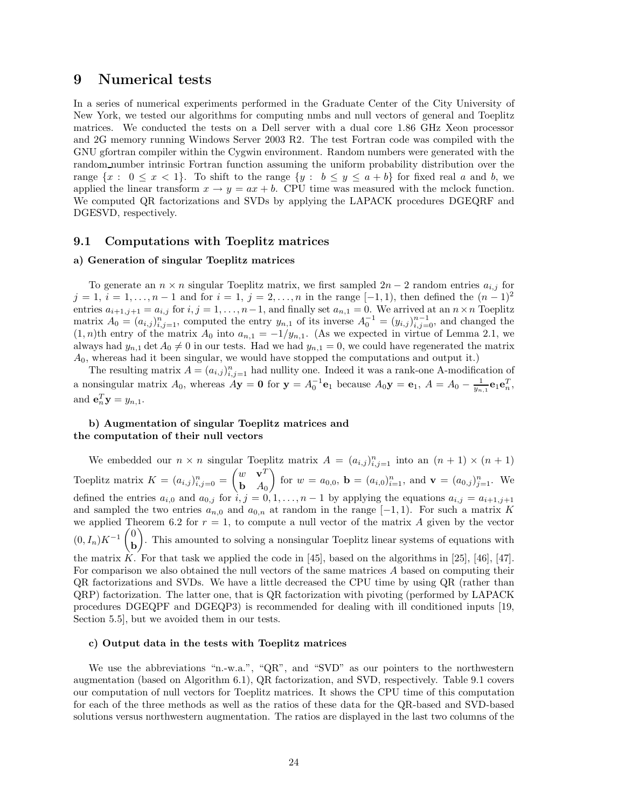## **9 Numerical tests**

In a series of numerical experiments performed in the Graduate Center of the City University of New York, we tested our algorithms for computing nmbs and null vectors of general and Toeplitz matrices. We conducted the tests on a Dell server with a dual core 1.86 GHz Xeon processor and 2G memory running Windows Server 2003 R2. The test Fortran code was compiled with the GNU gfortran compiler within the Cygwin environment. Random numbers were generated with the random number intrinsic Fortran function assuming the uniform probability distribution over the range  $\{x : 0 \leq x < 1\}$ . To shift to the range  $\{y : b \leq y \leq a + b\}$  for fixed real *a* and *b*, we applied the linear transform  $x \to y = ax + b$ . CPU time was measured with the mclock function. We computed QR factorizations and SVDs by applying the LAPACK procedures DGEQRF and DGESVD, respectively.

## **9.1 Computations with Toeplitz matrices**

#### **a) Generation of singular Toeplitz matrices**

To generate an  $n \times n$  singular Toeplitz matrix, we first sampled  $2n - 2$  random entries  $a_{i,j}$  for *j* = 1, *i* = 1,..., *n* − 1 and for *i* = 1, *j* = 2,..., *n* in the range [−1, 1], then defined the  $(n-1)^2$ entries  $a_{i+1,j+1} = a_{i,j}$  for  $i, j = 1, \ldots, n-1$ , and finally set  $a_{n,1} = 0$ . We arrived at an  $n \times n$  Toeplitz matrix  $A_0 = (a_{i,j})_{i,j=1}^n$ , computed the entry  $y_{n,1}$  of its inverse  $A_0^{-1} = (y_{i,j})_{i,j=0}^{n-1}$ , and changed the  $(1, n)$ th entry of the matrix  $A_0$  into  $a_{n,1} = -1/y_{n,1}$ . (As we expected in virtue of Lemma 2.1, we always had  $y_{n,1}$  det  $A_0 \neq 0$  in our tests. Had we had  $y_{n,1} = 0$ , we could have regenerated the matrix *A*0, whereas had it been singular, we would have stopped the computations and output it.)

The resulting matrix  $A = (a_{i,j})_{i,j=1}^n$  had nullity one. Indeed it was a rank-one A-modification of a nonsingular matrix  $A_0$ , whereas  $A\mathbf{y} = \mathbf{0}$  for  $\mathbf{y} = A_0^{-1} \mathbf{e}_1$  because  $A_0\mathbf{y} = \mathbf{e}_1$ ,  $A = A_0 - \frac{1}{y_{n,1}} \mathbf{e}_1 \mathbf{e}_n^T$ , and  $\mathbf{e}_n^T \mathbf{y} = y_{n,1}$ .

## **b) Augmentation of singular Toeplitz matrices and the computation of their null vectors**

We embedded our  $n \times n$  singular Toeplitz matrix  $A = (a_{i,j})_{i,j=1}^n$  into an  $(n + 1) \times (n + 1)$ Toeplitz matrix  $K = (a_{i,j})_{i,j=0}^n = \begin{pmatrix} w & \mathbf{v}^T \\ \mathbf{b} & A_0 \end{pmatrix}$ **b** *A*<sup>0</sup> for  $w = a_{0,0}$ ,  $\mathbf{b} = (a_{i,0})_{i=1}^n$ , and  $\mathbf{v} = (a_{0,j})_{j=1}^n$ . We defined the entries  $a_{i,0}$  and  $a_{0,j}$  for  $i, j = 0, 1, \ldots, n-1$  by applying the equations  $a_{i,j} = a_{i+1,j+1}$ and sampled the two entries  $a_{n,0}$  and  $a_{0,n}$  at random in the range  $[-1,1)$ . For such a matrix *K* we applied Theorem 6.2 for  $r = 1$ , to compute a null vector of the matrix  $\vec{A}$  given by the vector  $(0, I_n)K^{-1}$  $\begin{pmatrix} 0 \\ h \end{pmatrix}$ **b** - . This amounted to solving a nonsingular Toeplitz linear systems of equations with the matrix *K*. For that task we applied the code in [45], based on the algorithms in [25], [46], [47]. For comparison we also obtained the null vectors of the same matrices *A* based on computing their QR factorizations and SVDs. We have a little decreased the CPU time by using QR (rather than QRP) factorization. The latter one, that is QR factorization with pivoting (performed by LAPACK procedures DGEQPF and DGEQP3) is recommended for dealing with ill conditioned inputs [19, Section 5.5], but we avoided them in our tests.

#### **c) Output data in the tests with Toeplitz matrices**

We use the abbreviations "n.-w.a.", "QR", and "SVD" as our pointers to the northwestern augmentation (based on Algorithm 6.1), QR factorization, and SVD, respectively. Table 9.1 covers our computation of null vectors for Toeplitz matrices. It shows the CPU time of this computation for each of the three methods as well as the ratios of these data for the QR-based and SVD-based solutions versus northwestern augmentation. The ratios are displayed in the last two columns of the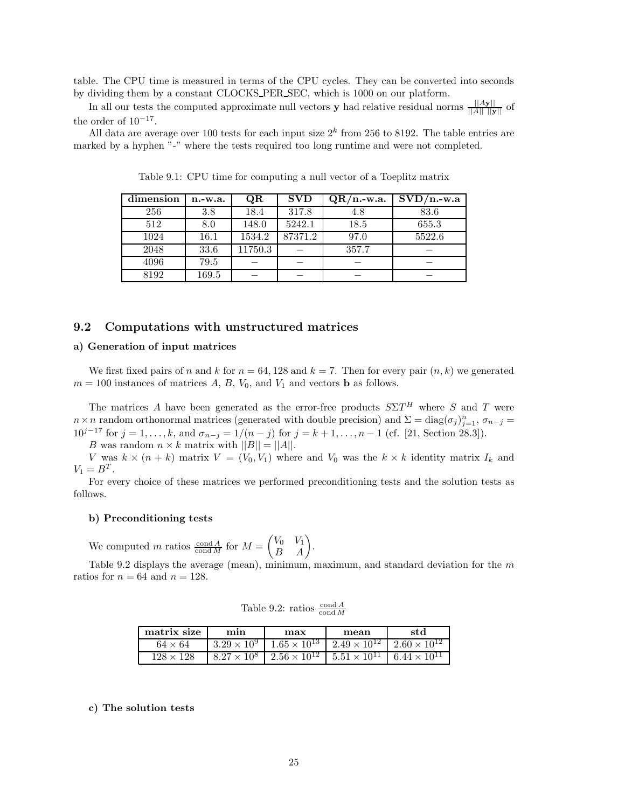table. The CPU time is measured in terms of the CPU cycles. They can be converted into seconds by dividing them by a constant CLOCKS PER SEC, which is 1000 on our platform.

In all our tests the computed approximate null vectors **y** had relative residual norms  $\frac{||A\mathbf{y}||}{||A|| \cdot ||\mathbf{y}||}$  of the order of  $10^{-17}$ .

All data are average over 100 tests for each input size 2*<sup>k</sup>* from 256 to 8192. The table entries are marked by a hyphen "-" where the tests required too long runtime and were not completed.

| dimension | n.-w.a. | QR      | <b>SVD</b> | $QR/n$ -w.a. | $SVD/n.-w.a$ |
|-----------|---------|---------|------------|--------------|--------------|
| 256       | 3.8     | 18.4    | 317.8      | 4.8          | 83.6         |
| 512       | 8.0     | 148.0   | 5242.1     | 18.5         | 655.3        |
| 1024      | 16.1    | 1534.2  | 87371.2    | 97.0         | 5522.6       |
| 2048      | 33.6    | 11750.3 |            | 357.7        |              |
| 4096      | 79.5    |         |            |              |              |
| 8192      | 169.5   |         |            |              |              |

Table 9.1: CPU time for computing a null vector of a Toeplitz matrix

## **9.2 Computations with unstructured matrices**

## **a) Generation of input matrices**

We first fixed pairs of *n* and *k* for  $n = 64, 128$  and  $k = 7$ . Then for every pair  $(n, k)$  we generated  $m = 100$  instances of matrices  $A, B, V_0$ , and  $V_1$  and vectors **b** as follows.

The matrices *A* have been generated as the error-free products  $S\Sigma T^H$  where *S* and *T* were *n* × *n* random orthonormal matrices (generated with double precision) and  $\Sigma = diag(\sigma_j)_{j=1}^n$ ,  $\sigma_{n-j}$ 10<sup>*j*−17</sup> for *j* = 1,..., *k*, and  $\sigma_{n-j} = 1/(n-j)$  for *j* = *k* + 1,..., *n* − 1 (cf. [21, Section 28.3]).

*B* was random  $n \times k$  matrix with  $||B|| = ||A||$ .

*V* was  $k \times (n + k)$  matrix  $V = (V_0, V_1)$  where and  $V_0$  was the  $k \times k$  identity matrix  $I_k$  and  $V_1 = B^T$ .

For every choice of these matrices we performed preconditioning tests and the solution tests as follows.

#### **b) Preconditioning tests**

We computed *m* ratios  $\frac{\text{cond } A}{\text{cond } M}$  for  $M = \begin{pmatrix} V_0 & V_1 \\ B & A \end{pmatrix}$ .

Table 9.2 displays the average (mean), minimum, maximum, and standard deviation for the *m* ratios for  $n = 64$  and  $n = 128$ .

Table 9.2: ratios  $\frac{\text{cond } A}{\text{cond } M}$ 

| matrix size      | min | max | mean                                                                                                                                              | std |
|------------------|-----|-----|---------------------------------------------------------------------------------------------------------------------------------------------------|-----|
| $64 \times 64$   |     |     | $3.29 \times 10^9$ $1.65 \times 10^{13}$ $2.49 \times 10^{12}$ $2.60 \times 10^{12}$                                                              |     |
| $128 \times 128$ |     |     | $\begin{array}{ c c c c c c c c c } \hline 8.27 \times 10^8 & 2.56 \times 10^{12} & 5.51 \times 10^{11} & 6.44 \times 10^{11} \hline \end{array}$ |     |

#### **c) The solution tests**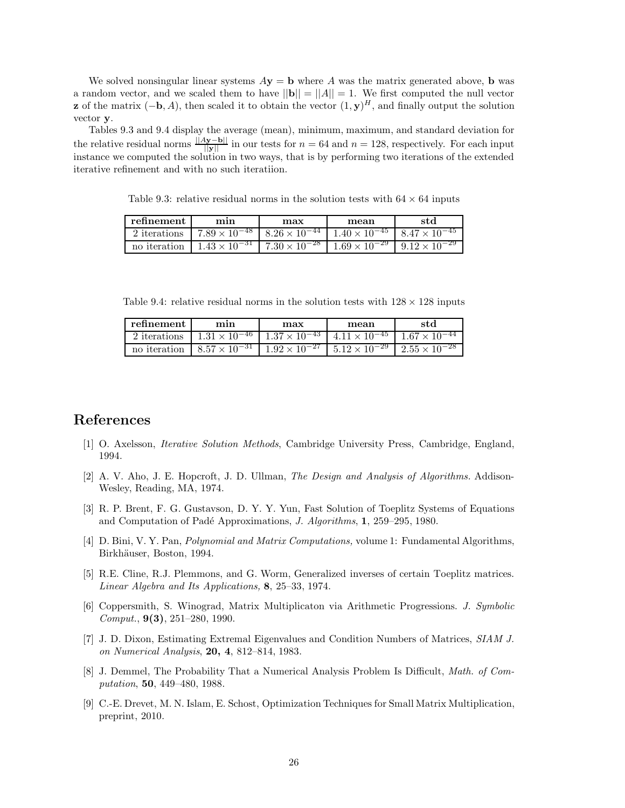We solved nonsingular linear systems  $A$ **y** = **b** where *A* was the matrix generated above, **b** was a random vector, and we scaled them to have  $||\mathbf{b}|| = ||A|| = 1$ . We first computed the null vector **z** of the matrix  $(-\mathbf{b}, A)$ , then scaled it to obtain the vector  $(1, \mathbf{y})^H$ , and finally output the solution vector **y**.

Tables 9.3 and 9.4 display the average (mean), minimum, maximum, and standard deviation for the relative residual norms  $\frac{\|Ay-b\|}{\|y\|}$  in our tests for  $n = 64$  and  $n = 128$ , respectively. For each input instance we computed the solution in two ways, that is by performing two iterations of the extended iterative refinement and with no such iteratiion.

Table 9.3: relative residual norms in the solution tests with  $64 \times 64$  inputs

| refinement | mın                                                                                                                            | max | mean | std |
|------------|--------------------------------------------------------------------------------------------------------------------------------|-----|------|-----|
|            | 2 iterations $\left[7.89 \times 10^{-48} \right] 8.26 \times 10^{-44} \left[1.40 \times 10^{-45} \right] 8.47 \times 10^{-45}$ |     |      |     |
|            | no iteration $1.43 \times 10^{-31}$ $7.30 \times 10^{-28}$ $1.69 \times 10^{-29}$ $9.12 \times 10^{-29}$                       |     |      |     |

Table 9.4: relative residual norms in the solution tests with  $128 \times 128$  inputs

| refinement     | mın                                                                                               | max | mean | std                                                                                                      |
|----------------|---------------------------------------------------------------------------------------------------|-----|------|----------------------------------------------------------------------------------------------------------|
| 2 iterations 1 | $1.31 \times 10^{-46}$   $1.37 \times 10^{-43}$   $4.11 \times 10^{-45}$   $1.67 \times 10^{-44}$ |     |      |                                                                                                          |
|                |                                                                                                   |     |      | no iteration $8.57 \times 10^{-31}$ $1.92 \times 10^{-27}$ $5.12 \times 10^{-29}$ $2.55 \times 10^{-28}$ |

## **References**

- [1] O. Axelsson, *Iterative Solution Methods*, Cambridge University Press, Cambridge, England, 1994.
- [2] A. V. Aho, J. E. Hopcroft, J. D. Ullman, *The Design and Analysis of Algorithms.* Addison-Wesley, Reading, MA, 1974.
- [3] R. P. Brent, F. G. Gustavson, D. Y. Y. Yun, Fast Solution of Toeplitz Systems of Equations and Computation of Padé Approximations, *J. Algorithms*, **1**, 259–295, 1980.
- [4] D. Bini, V. Y. Pan, *Polynomial and Matrix Computations,* volume 1: Fundamental Algorithms, Birkhäuser, Boston, 1994.
- [5] R.E. Cline, R.J. Plemmons, and G. Worm, Generalized inverses of certain Toeplitz matrices. *Linear Algebra and Its Applications,* **8**, 25–33, 1974.
- [6] Coppersmith, S. Winograd, Matrix Multiplicaton via Arithmetic Progressions. *J. Symbolic Comput.*, **9(3)**, 251–280, 1990.
- [7] J. D. Dixon, Estimating Extremal Eigenvalues and Condition Numbers of Matrices, *SIAM J. on Numerical Analysis*, **20, 4**, 812–814, 1983.
- [8] J. Demmel, The Probability That a Numerical Analysis Problem Is Difficult, *Math. of Computation*, **50**, 449–480, 1988.
- [9] C.-E. Drevet, M. N. Islam, E. Schost, Optimization Techniques for Small Matrix Multiplication, preprint, 2010.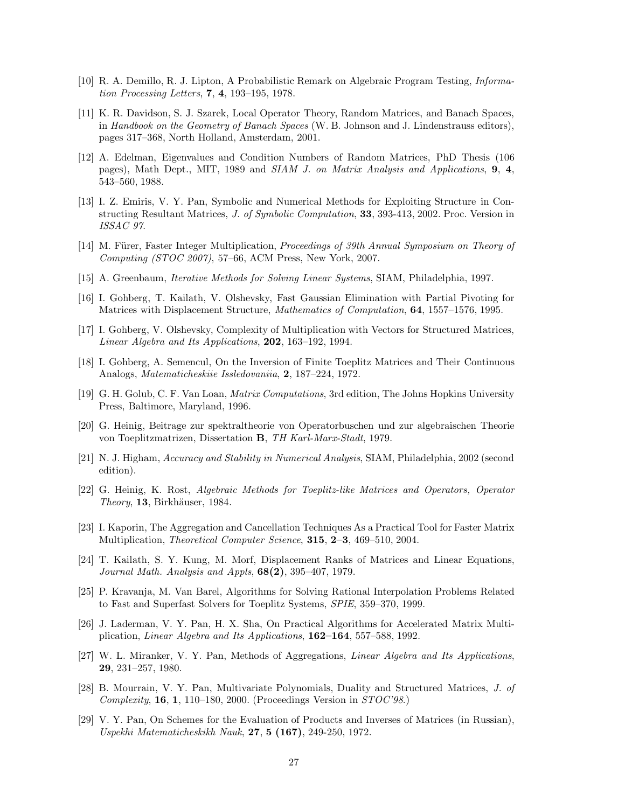- [10] R. A. Demillo, R. J. Lipton, A Probabilistic Remark on Algebraic Program Testing, *Information Processing Letters*, **7**, **4**, 193–195, 1978.
- [11] K. R. Davidson, S. J. Szarek, Local Operator Theory, Random Matrices, and Banach Spaces, in *Handbook on the Geometry of Banach Spaces* (W. B. Johnson and J. Lindenstrauss editors), pages 317–368, North Holland, Amsterdam, 2001.
- [12] A. Edelman, Eigenvalues and Condition Numbers of Random Matrices, PhD Thesis (106 pages), Math Dept., MIT, 1989 and *SIAM J. on Matrix Analysis and Applications*, **9**, **4**, 543–560, 1988.
- [13] I. Z. Emiris, V. Y. Pan, Symbolic and Numerical Methods for Exploiting Structure in Constructing Resultant Matrices, *J. of Symbolic Computation*, **33**, 393-413, 2002. Proc. Version in *ISSAC 97*.
- [14] M. Fürer, Faster Integer Multiplication, *Proceedings of 39th Annual Symposium on Theory of Computing (STOC 2007)*, 57–66, ACM Press, New York, 2007.
- [15] A. Greenbaum, *Iterative Methods for Solving Linear Systems*, SIAM, Philadelphia, 1997.
- [16] I. Gohberg, T. Kailath, V. Olshevsky, Fast Gaussian Elimination with Partial Pivoting for Matrices with Displacement Structure, *Mathematics of Computation*, **64**, 1557–1576, 1995.
- [17] I. Gohberg, V. Olshevsky, Complexity of Multiplication with Vectors for Structured Matrices, *Linear Algebra and Its Applications*, **202**, 163–192, 1994.
- [18] I. Gohberg, A. Semencul, On the Inversion of Finite Toeplitz Matrices and Their Continuous Analogs, *Matematicheskiie Issledovaniia*, **2**, 187–224, 1972.
- [19] G. H. Golub, C. F. Van Loan, *Matrix Computations*, 3rd edition, The Johns Hopkins University Press, Baltimore, Maryland, 1996.
- [20] G. Heinig, Beitrage zur spektraltheorie von Operatorbuschen und zur algebraischen Theorie von Toeplitzmatrizen, Dissertation **B**, *TH Karl-Marx-Stadt*, 1979.
- [21] N. J. Higham, *Accuracy and Stability in Numerical Analysis*, SIAM, Philadelphia, 2002 (second edition).
- [22] G. Heinig, K. Rost, *Algebraic Methods for Toeplitz-like Matrices and Operators, Operator Theory*, **13**, Birkhäuser, 1984.
- [23] I. Kaporin, The Aggregation and Cancellation Techniques As a Practical Tool for Faster Matrix Multiplication, *Theoretical Computer Science*, **315**, **2–3**, 469–510, 2004.
- [24] T. Kailath, S. Y. Kung, M. Morf, Displacement Ranks of Matrices and Linear Equations, *Journal Math. Analysis and Appls*, **68(2)**, 395–407, 1979.
- [25] P. Kravanja, M. Van Barel, Algorithms for Solving Rational Interpolation Problems Related to Fast and Superfast Solvers for Toeplitz Systems, *SPIE*, 359–370, 1999.
- [26] J. Laderman, V. Y. Pan, H. X. Sha, On Practical Algorithms for Accelerated Matrix Multiplication, *Linear Algebra and Its Applications*, **162–164**, 557–588, 1992.
- [27] W. L. Miranker, V. Y. Pan, Methods of Aggregations, *Linear Algebra and Its Applications*, **29**, 231–257, 1980.
- [28] B. Mourrain, V. Y. Pan, Multivariate Polynomials, Duality and Structured Matrices, *J. of Complexity*, **16**, **1**, 110–180, 2000. (Proceedings Version in *STOC'98*.)
- [29] V. Y. Pan, On Schemes for the Evaluation of Products and Inverses of Matrices (in Russian), *Uspekhi Matematicheskikh Nauk*, **27**, **5 (167)**, 249-250, 1972.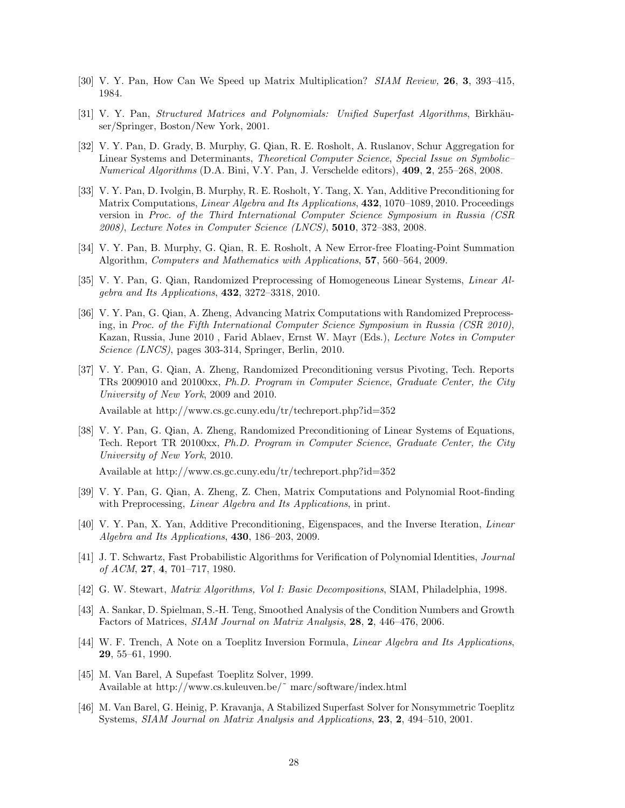- [30] V. Y. Pan, How Can We Speed up Matrix Multiplication? *SIAM Review,* **26**, **3**, 393–415, 1984.
- [31] V. Y. Pan, *Structured Matrices and Polynomials: Unified Superfast Algorithms*, Birkhäuser/Springer, Boston/New York, 2001.
- [32] V. Y. Pan, D. Grady, B. Murphy, G. Qian, R. E. Rosholt, A. Ruslanov, Schur Aggregation for Linear Systems and Determinants, *Theoretical Computer Science*, *Special Issue on Symbolic– Numerical Algorithms* (D.A. Bini, V.Y. Pan, J. Verschelde editors), **409**, **2**, 255–268, 2008.
- [33] V. Y. Pan, D. Ivolgin, B. Murphy, R. E. Rosholt, Y. Tang, X. Yan, Additive Preconditioning for Matrix Computations, *Linear Algebra and Its Applications*, **432**, 1070–1089, 2010. Proceedings version in *Proc. of the Third International Computer Science Symposium in Russia (CSR 2008)*, *Lecture Notes in Computer Science (LNCS)*, **5010**, 372–383, 2008.
- [34] V. Y. Pan, B. Murphy, G. Qian, R. E. Rosholt, A New Error-free Floating-Point Summation Algorithm, *Computers and Mathematics with Applications*, **57**, 560–564, 2009.
- [35] V. Y. Pan, G. Qian, Randomized Preprocessing of Homogeneous Linear Systems, *Linear Algebra and Its Applications*, **432**, 3272–3318, 2010.
- [36] V. Y. Pan, G. Qian, A. Zheng, Advancing Matrix Computations with Randomized Preprocessing, in *Proc. of the Fifth International Computer Science Symposium in Russia (CSR 2010)*, Kazan, Russia, June 2010 , Farid Ablaev, Ernst W. Mayr (Eds.), *Lecture Notes in Computer Science (LNCS)*, pages 303-314, Springer, Berlin, 2010.
- [37] V. Y. Pan, G. Qian, A. Zheng, Randomized Preconditioning versus Pivoting, Tech. Reports TRs 2009010 and 20100xx, *Ph.D. Program in Computer Science*, *Graduate Center, the City University of New York*, 2009 and 2010.

Available at http://www.cs.gc.cuny.edu/tr/techreport.php?id=352

[38] V. Y. Pan, G. Qian, A. Zheng, Randomized Preconditioning of Linear Systems of Equations, Tech. Report TR 20100xx, *Ph.D. Program in Computer Science*, *Graduate Center, the City University of New York*, 2010.

Available at http://www.cs.gc.cuny.edu/tr/techreport.php?id=352

- [39] V. Y. Pan, G. Qian, A. Zheng, Z. Chen, Matrix Computations and Polynomial Root-finding with Preprocessing, *Linear Algebra and Its Applications*, in print.
- [40] V. Y. Pan, X. Yan, Additive Preconditioning, Eigenspaces, and the Inverse Iteration, *Linear Algebra and Its Applications*, **430**, 186–203, 2009.
- [41] J. T. Schwartz, Fast Probabilistic Algorithms for Verification of Polynomial Identities, *Journal of ACM*, **27**, **4**, 701–717, 1980.
- [42] G. W. Stewart, *Matrix Algorithms, Vol I: Basic Decompositions*, SIAM, Philadelphia, 1998.
- [43] A. Sankar, D. Spielman, S.-H. Teng, Smoothed Analysis of the Condition Numbers and Growth Factors of Matrices, *SIAM Journal on Matrix Analysis*, **28**, **2**, 446–476, 2006.
- [44] W. F. Trench, A Note on a Toeplitz Inversion Formula, *Linear Algebra and Its Applications*, **29**, 55–61, 1990.
- [45] M. Van Barel, A Supefast Toeplitz Solver, 1999. Available at http://www.cs.kuleuven.be/˜ marc/software/index.html
- [46] M. Van Barel, G. Heinig, P. Kravanja, A Stabilized Superfast Solver for Nonsymmetric Toeplitz Systems, *SIAM Journal on Matrix Analysis and Applications*, **23**, **2**, 494–510, 2001.